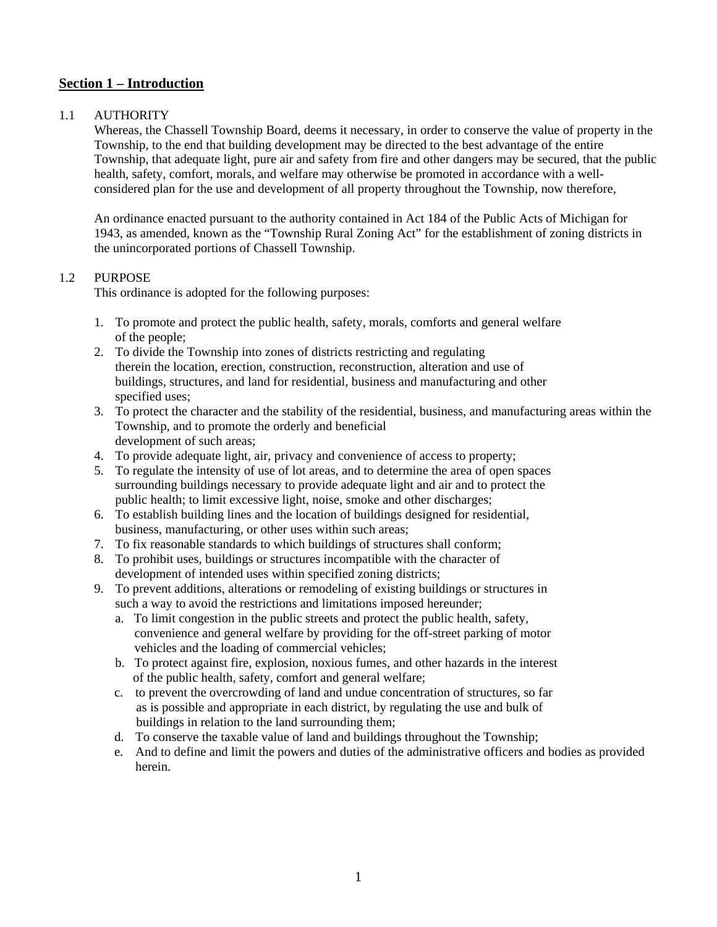# **Section 1 – Introduction**

## 1.1 AUTHORITY

Whereas, the Chassell Township Board, deems it necessary, in order to conserve the value of property in the Township, to the end that building development may be directed to the best advantage of the entire Township, that adequate light, pure air and safety from fire and other dangers may be secured, that the public health, safety, comfort, morals, and welfare may otherwise be promoted in accordance with a wellconsidered plan for the use and development of all property throughout the Township, now therefore,

An ordinance enacted pursuant to the authority contained in Act 184 of the Public Acts of Michigan for 1943, as amended, known as the "Township Rural Zoning Act" for the establishment of zoning districts in the unincorporated portions of Chassell Township.

## 1.2 PURPOSE

This ordinance is adopted for the following purposes:

- 1. To promote and protect the public health, safety, morals, comforts and general welfare of the people;
- 2. To divide the Township into zones of districts restricting and regulating therein the location, erection, construction, reconstruction, alteration and use of buildings, structures, and land for residential, business and manufacturing and other specified uses;
- 3. To protect the character and the stability of the residential, business, and manufacturing areas within the Township, and to promote the orderly and beneficial development of such areas;
- 4. To provide adequate light, air, privacy and convenience of access to property;
- 5. To regulate the intensity of use of lot areas, and to determine the area of open spaces surrounding buildings necessary to provide adequate light and air and to protect the public health; to limit excessive light, noise, smoke and other discharges;
- 6. To establish building lines and the location of buildings designed for residential, business, manufacturing, or other uses within such areas;
- 7. To fix reasonable standards to which buildings of structures shall conform;
- 8. To prohibit uses, buildings or structures incompatible with the character of development of intended uses within specified zoning districts;
- 9. To prevent additions, alterations or remodeling of existing buildings or structures in such a way to avoid the restrictions and limitations imposed hereunder;
	- a. To limit congestion in the public streets and protect the public health, safety, convenience and general welfare by providing for the off-street parking of motor vehicles and the loading of commercial vehicles;
	- b. To protect against fire, explosion, noxious fumes, and other hazards in the interest of the public health, safety, comfort and general welfare;
	- c. to prevent the overcrowding of land and undue concentration of structures, so far as is possible and appropriate in each district, by regulating the use and bulk of buildings in relation to the land surrounding them;
	- d. To conserve the taxable value of land and buildings throughout the Township;
	- e. And to define and limit the powers and duties of the administrative officers and bodies as provided herein.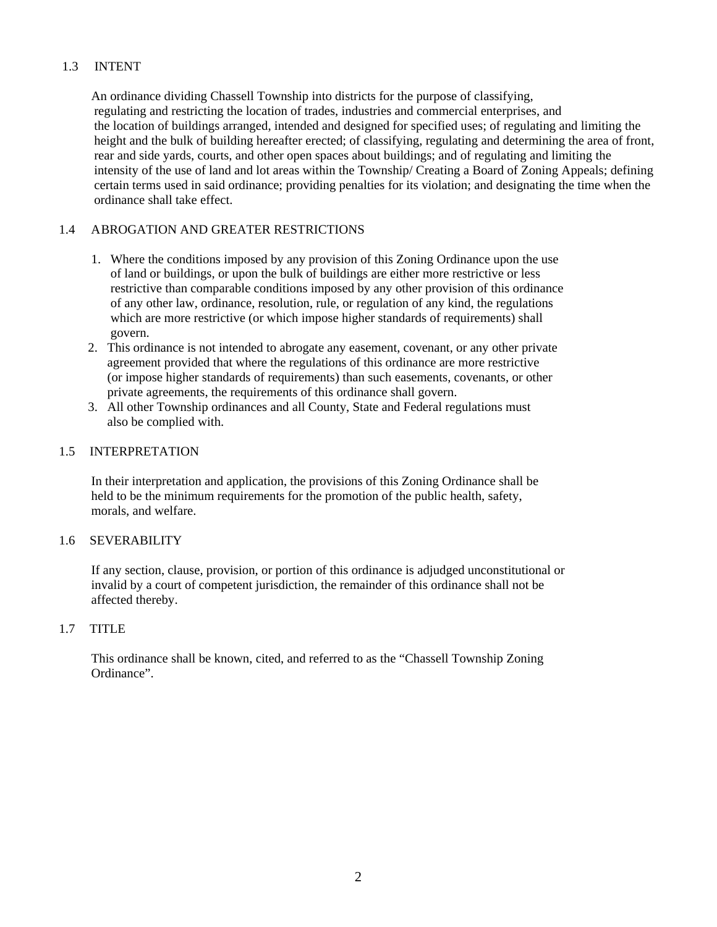## 1.3 INTENT

 An ordinance dividing Chassell Township into districts for the purpose of classifying, regulating and restricting the location of trades, industries and commercial enterprises, and the location of buildings arranged, intended and designed for specified uses; of regulating and limiting the height and the bulk of building hereafter erected; of classifying, regulating and determining the area of front, rear and side yards, courts, and other open spaces about buildings; and of regulating and limiting the intensity of the use of land and lot areas within the Township/ Creating a Board of Zoning Appeals; defining certain terms used in said ordinance; providing penalties for its violation; and designating the time when the ordinance shall take effect.

## 1.4 A BROGATION AND GREATER RESTRICTIONS

- 1. Where the conditions imposed by any provision of this Zoning Ordinance upon the use of land or buildings, or upon the bulk of buildings are either more restrictive or less restrictive than comparable conditions imposed by any other provision of this ordinance of any other law, ordinance, resolution, rule, or regulation of any kind, the regulations which are more restrictive (or which impose higher standards of requirements) shall govern.
- 2. This ordinance is not intended to abrogate any easement, covenant, or any other private agreement provided that where the regulations of this ordinance are more restrictive (or impose higher standards of requirements) than such easements, covenants, or other private agreements, the requirements of this ordinance shall govern.
- 3. All other Township ordinances and all County, State and Federal regulations must also be complied with.

### 1.5 INTERPRETATION

 In their interpretation and application, the provisions of this Zoning Ordinance shall be held to be the minimum requirements for the promotion of the public health, safety, morals, and welfare.

## 1.6 SEVERABILITY

 If any section, clause, provision, or portion of this ordinance is adjudged unconstitutional or invalid by a court of competent jurisdiction, the remainder of this ordinance shall not be affected thereby.

## 1.7 TITLE

 This ordinance shall be known, cited, and referred to as the "Chassell Township Zoning Ordinance".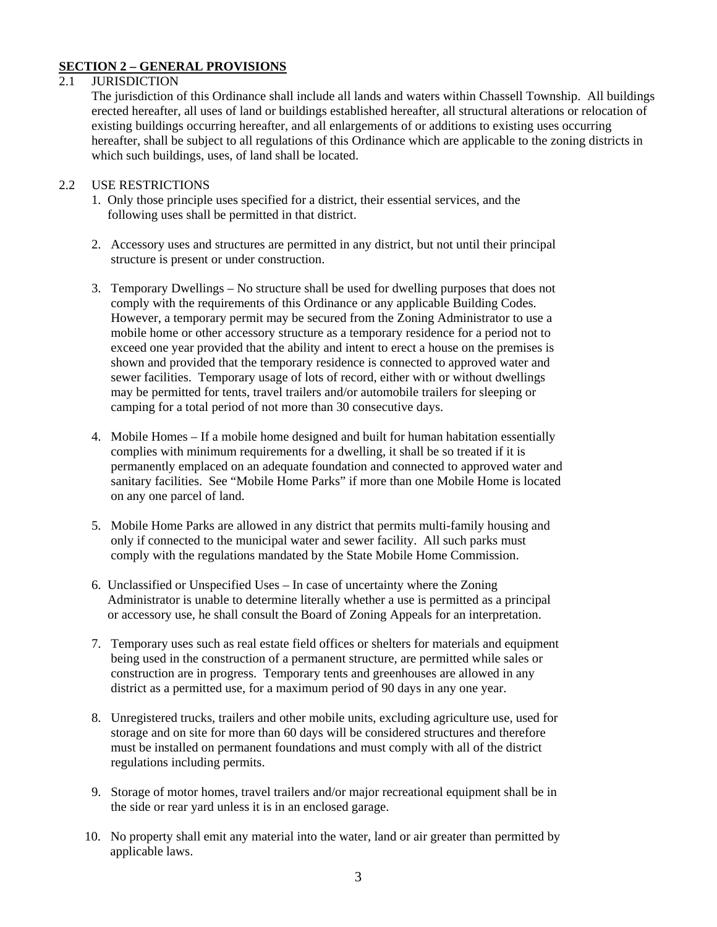## **SECTION 2 – GENERAL PROVISIONS**

#### 2.1 JURISDICTION

The jurisdiction of this Ordinance shall include all lands and waters within Chassell Township. All buildings erected hereafter, all uses of land or buildings established hereafter, all structural alterations or relocation of existing buildings occurring hereafter, and all enlargements of or additions to existing uses occurring hereafter, shall be subject to all regulations of this Ordinance which are applicable to the zoning districts in which such buildings, uses, of land shall be located.

#### 2.2 USE RESTRICTIONS

- 1. Only those principle uses specified for a district, their essential services, and the following uses shall be permitted in that district.
- 2. Accessory uses and structures are permitted in any district, but not until their principal structure is present or under construction.
- 3. Temporary Dwellings No structure shall be used for dwelling purposes that does not comply with the requirements of this Ordinance or any applicable Building Codes. However, a temporary permit may be secured from the Zoning Administrator to use a mobile home or other accessory structure as a temporary residence for a period not to exceed one year provided that the ability and intent to erect a house on the premises is shown and provided that the temporary residence is connected to approved water and sewer facilities. Temporary usage of lots of record, either with or without dwellings may be permitted for tents, travel trailers and/or automobile trailers for sleeping or camping for a total period of not more than 30 consecutive days.
- 4. Mobile Homes If a mobile home designed and built for human habitation essentially complies with minimum requirements for a dwelling, it shall be so treated if it is permanently emplaced on an adequate foundation and connected to approved water and sanitary facilities. See "Mobile Home Parks" if more than one Mobile Home is located on any one parcel of land.
- 5. Mobile Home Parks are allowed in any district that permits multi-family housing and only if connected to the municipal water and sewer facility. All such parks must comply with the regulations mandated by the State Mobile Home Commission.
- 6. Unclassified or Unspecified Uses In case of uncertainty where the Zoning Administrator is unable to determine literally whether a use is permitted as a principal or accessory use, he shall consult the Board of Zoning Appeals for an interpretation.
- 7. Temporary uses such as real estate field offices or shelters for materials and equipment being used in the construction of a permanent structure, are permitted while sales or construction are in progress. Temporary tents and greenhouses are allowed in any district as a permitted use, for a maximum period of 90 days in any one year.
- 8. Unregistered trucks, trailers and other mobile units, excluding agriculture use, used for storage and on site for more than 60 days will be considered structures and therefore must be installed on permanent foundations and must comply with all of the district regulations including permits.
- 9. Storage of motor homes, travel trailers and/or major recreational equipment shall be in the side or rear yard unless it is in an enclosed garage.
- 10. No property shall emit any material into the water, land or air greater than permitted by applicable laws.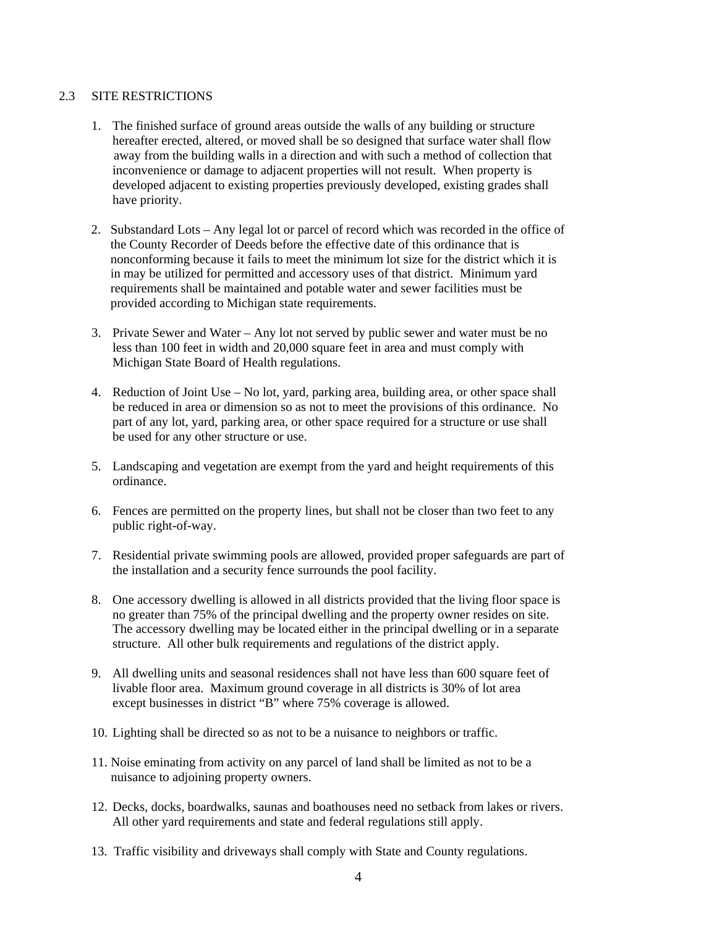### 2.3 SITE RESTRICTIONS

- 1. The finished surface of ground areas outside the walls of any building or structure hereafter erected, altered, or moved shall be so designed that surface water shall flow away from the building walls in a direction and with such a method of collection that inconvenience or damage to adjacent properties will not result. When property is developed adjacent to existing properties previously developed, existing grades shall have priority.
- 2. Substandard Lots Any legal lot or parcel of record which was recorded in the office of the County Recorder of Deeds before the effective date of this ordinance that is nonconforming because it fails to meet the minimum lot size for the district which it is in may be utilized for permitted and accessory uses of that district. Minimum yard requirements shall be maintained and potable water and sewer facilities must be provided according to Michigan state requirements.
- 3. Private Sewer and Water Any lot not served by public sewer and water must be no less than 100 feet in width and 20,000 square feet in area and must comply with Michigan State Board of Health regulations.
- 4. Reduction of Joint Use No lot, yard, parking area, building area, or other space shall be reduced in area or dimension so as not to meet the provisions of this ordinance. No part of any lot, yard, parking area, or other space required for a structure or use shall be used for any other structure or use.
- 5. Landscaping and vegetation are exempt from the yard and height requirements of this ordinance.
- 6. Fences are permitted on the property lines, but shall not be closer than two feet to any public right-of-way.
- 7. Residential private swimming pools are allowed, provided proper safeguards are part of the installation and a security fence surrounds the pool facility.
- 8. One accessory dwelling is allowed in all districts provided that the living floor space is no greater than 75% of the principal dwelling and the property owner resides on site. The accessory dwelling may be located either in the principal dwelling or in a separate structure. All other bulk requirements and regulations of the district apply.
- 9. All dwelling units and seasonal residences shall not have less than 600 square feet of livable floor area. Maximum ground coverage in all districts is 30% of lot area except businesses in district "B" where 75% coverage is allowed.
- 10. Lighting shall be directed so as not to be a nuisance to neighbors or traffic.
- 11. Noise eminating from activity on any parcel of land shall be limited as not to be a nuisance to adjoining property owners.
- 12. Decks, docks, boardwalks, saunas and boathouses need no setback from lakes or rivers. All other yard requirements and state and federal regulations still apply.
- 13. Traffic visibility and driveways shall comply with State and County regulations.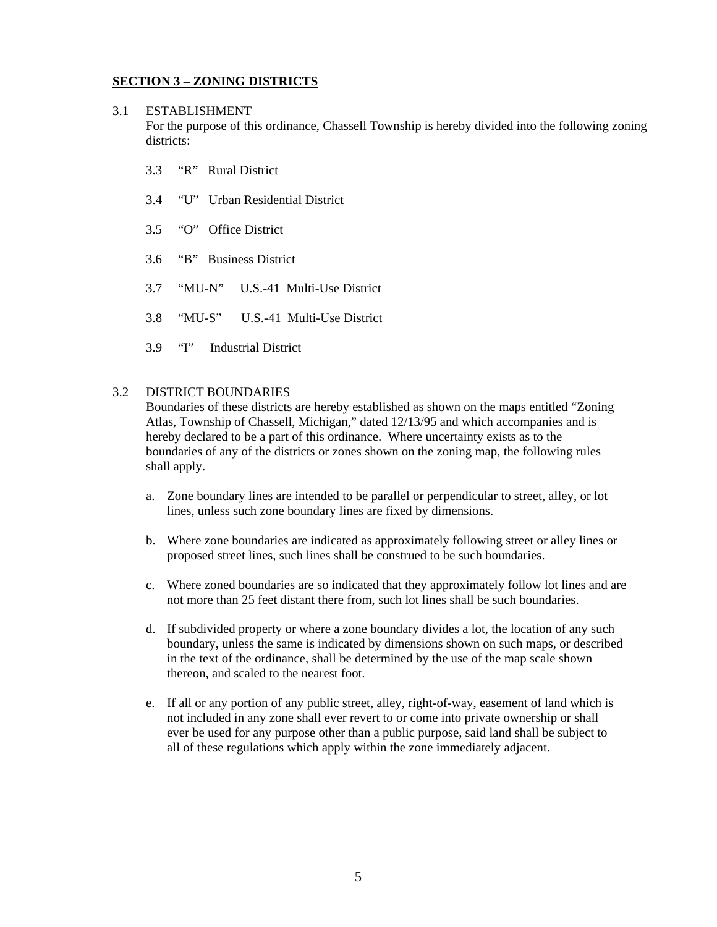## **SECTION 3 – ZONING DISTRICTS**

## 3.1 ESTABLISHMENT

For the purpose of this ordinance, Chassell Township is hereby divided into the following zoning districts:

- 3.3 "R" Rural District
- 3.4 "U" Urban Residential District
- 3.5 "O" Office District
- 3.6 "B" Business District
- 3.7 "MU-N" U.S.-41 Multi-Use District
- 3.8 "MU-S" U.S.-41 Multi-Use District
- 3.9 "I" Industrial District

#### 3.2 DISTRICT BOUNDARIES

Boundaries of these districts are hereby established as shown on the maps entitled "Zoning Atlas, Township of Chassell, Michigan," dated 12/13/95 and which accompanies and is hereby declared to be a part of this ordinance. Where uncertainty exists as to the boundaries of any of the districts or zones shown on the zoning map, the following rules shall apply.

- a. Zone boundary lines are intended to be parallel or perpendicular to street, alley, or lot lines, unless such zone boundary lines are fixed by dimensions.
- b. Where zone boundaries are indicated as approximately following street or alley lines or proposed street lines, such lines shall be construed to be such boundaries.
- c. Where zoned boundaries are so indicated that they approximately follow lot lines and are not more than 25 feet distant there from, such lot lines shall be such boundaries.
- d. If subdivided property or where a zone boundary divides a lot, the location of any such boundary, unless the same is indicated by dimensions shown on such maps, or described in the text of the ordinance, shall be determined by the use of the map scale shown thereon, and scaled to the nearest foot.
- e. If all or any portion of any public street, alley, right-of-way, easement of land which is not included in any zone shall ever revert to or come into private ownership or shall ever be used for any purpose other than a public purpose, said land shall be subject to all of these regulations which apply within the zone immediately adjacent.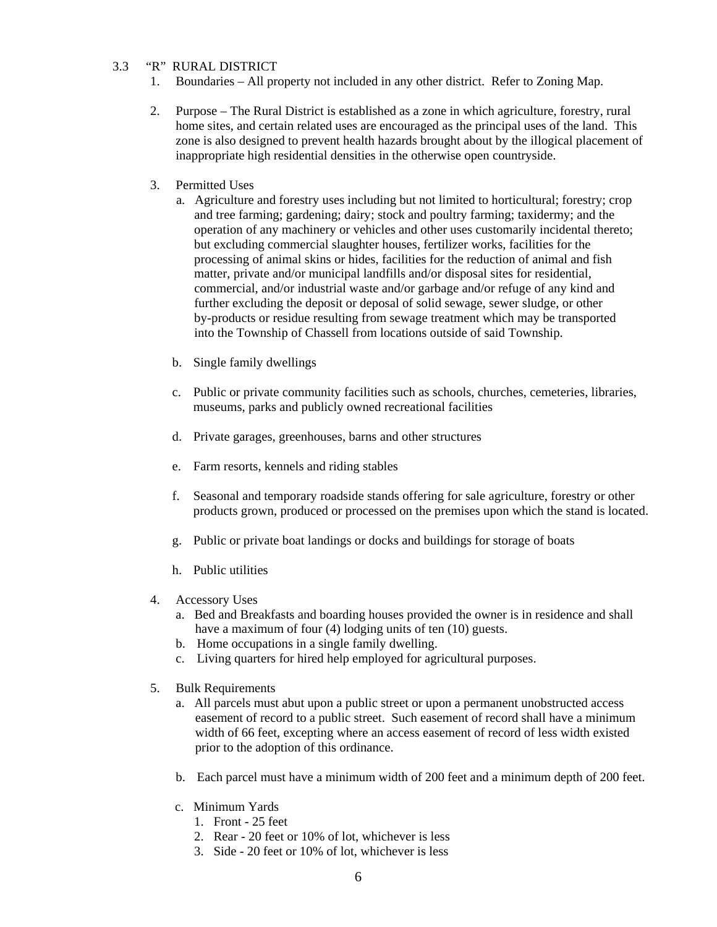## 3.3 "R" RURAL DISTRICT

- 1. Boundaries All property not included in any other district. Refer to Zoning Map.
- 2. Purpose The Rural District is established as a zone in which agriculture, forestry, rural home sites, and certain related uses are encouraged as the principal uses of the land. This zone is also designed to prevent health hazards brought about by the illogical placement of inappropriate high residential densities in the otherwise open countryside.
- 3. Permitted Uses
	- a. Agriculture and forestry uses including but not limited to horticultural; forestry; crop and tree farming; gardening; dairy; stock and poultry farming; taxidermy; and the operation of any machinery or vehicles and other uses customarily incidental thereto; but excluding commercial slaughter houses, fertilizer works, facilities for the processing of animal skins or hides, facilities for the reduction of animal and fish matter, private and/or municipal landfills and/or disposal sites for residential, commercial, and/or industrial waste and/or garbage and/or refuge of any kind and further excluding the deposit or deposal of solid sewage, sewer sludge, or other by-products or residue resulting from sewage treatment which may be transported into the Township of Chassell from locations outside of said Township.
	- b. Single family dwellings
	- c. Public or private community facilities such as schools, churches, cemeteries, libraries, museums, parks and publicly owned recreational facilities
	- d. Private garages, greenhouses, barns and other structures
	- e. Farm resorts, kennels and riding stables
	- f. Seasonal and temporary roadside stands offering for sale agriculture, forestry or other products grown, produced or processed on the premises upon which the stand is located.
	- g. Public or private boat landings or docks and buildings for storage of boats
	- h. Public utilities
- 4. Accessory Uses
	- a. Bed and Breakfasts and boarding houses provided the owner is in residence and shall have a maximum of four (4) lodging units of ten (10) guests.
	- b. Home occupations in a single family dwelling.
	- c. Living quarters for hired help employed for agricultural purposes.
- 5. Bulk Requirements
	- a. All parcels must abut upon a public street or upon a permanent unobstructed access easement of record to a public street. Such easement of record shall have a minimum width of 66 feet, excepting where an access easement of record of less width existed prior to the adoption of this ordinance.
	- b. Each parcel must have a minimum width of 200 feet and a minimum depth of 200 feet.
	- c. Minimum Yards
		- 1. Front 25 feet
		- 2. Rear 20 feet or 10% of lot, whichever is less
		- 3. Side 20 feet or 10% of lot, whichever is less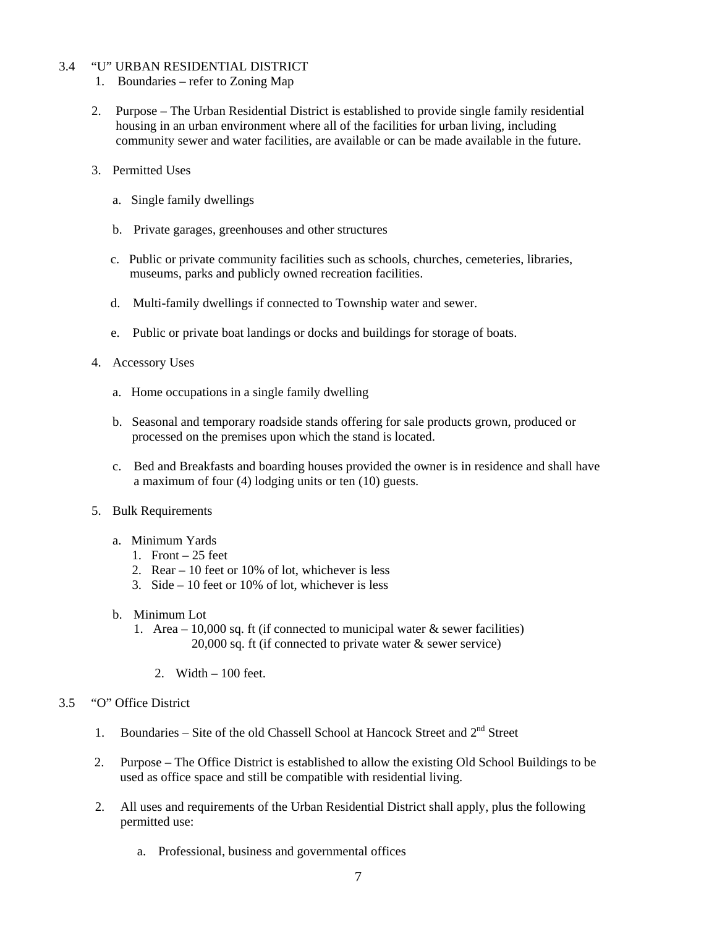### 3.4 "U" URBAN RESIDENTIAL DISTRICT

- 1. Boundaries refer to Zoning Map
- 2. Purpose The Urban Residential District is established to provide single family residential housing in an urban environment where all of the facilities for urban living, including community sewer and water facilities, are available or can be made available in the future.
- 3. Permitted Uses
	- a. Single family dwellings
	- b. Private garages, greenhouses and other structures
	- c. Public or private community facilities such as schools, churches, cemeteries, libraries, museums, parks and publicly owned recreation facilities.
	- d. Multi-family dwellings if connected to Township water and sewer.
	- e. Public or private boat landings or docks and buildings for storage of boats.
- 4. Accessory Uses
	- a. Home occupations in a single family dwelling
	- b. Seasonal and temporary roadside stands offering for sale products grown, produced or processed on the premises upon which the stand is located.
	- c. Bed and Breakfasts and boarding houses provided the owner is in residence and shall have a maximum of four (4) lodging units or ten (10) guests.
- 5. Bulk Requirements
	- a. Minimum Yards
		- 1. Front  $-25$  feet
		- 2. Rear 10 feet or 10% of lot, whichever is less
		- 3. Side 10 feet or 10% of lot, whichever is less
	- b. Minimum Lot
		- 1. Area 10,000 sq. ft (if connected to municipal water  $\&$  sewer facilities) 20,000 sq. ft (if connected to private water & sewer service)
			- 2. Width 100 feet.

#### 3.5 "O" Office District

- 1. Boundaries Site of the old Chassell School at Hancock Street and  $2<sup>nd</sup>$  Street
- 2. Purpose The Office District is established to allow the existing Old School Buildings to be used as office space and still be compatible with residential living.
- 2. All uses and requirements of the Urban Residential District shall apply, plus the following permitted use:
	- a. Professional, business and governmental offices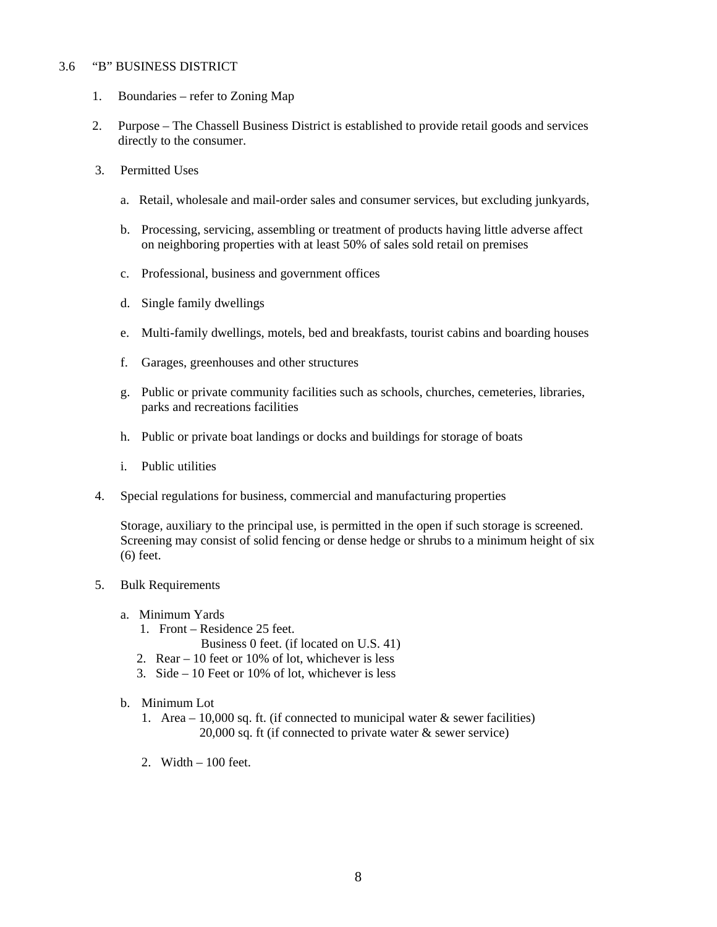#### 3.6 "B" BUSINESS DISTRICT

- 1. Boundaries refer to Zoning Map
- 2. Purpose The Chassell Business District is established to provide retail goods and services directly to the consumer.
- 3. Permitted Uses
	- a. Retail, wholesale and mail-order sales and consumer services, but excluding junkyards,
	- b. Processing, servicing, assembling or treatment of products having little adverse affect on neighboring properties with at least 50% of sales sold retail on premises
	- c. Professional, business and government offices
	- d. Single family dwellings
	- e. Multi-family dwellings, motels, bed and breakfasts, tourist cabins and boarding houses
	- f. Garages, greenhouses and other structures
	- g. Public or private community facilities such as schools, churches, cemeteries, libraries, parks and recreations facilities
	- h. Public or private boat landings or docks and buildings for storage of boats
	- i. Public utilities
- 4. Special regulations for business, commercial and manufacturing properties

Storage, auxiliary to the principal use, is permitted in the open if such storage is screened. Screening may consist of solid fencing or dense hedge or shrubs to a minimum height of six (6) feet.

- 5. Bulk Requirements
	- a. Minimum Yards
		- 1. Front Residence 25 feet.
			- Business 0 feet. (if located on U.S. 41)
		- 2. Rear 10 feet or 10% of lot, whichever is less
		- 3. Side 10 Feet or 10% of lot, whichever is less
	- b. Minimum Lot
		- 1. Area 10,000 sq. ft. (if connected to municipal water  $\&$  sewer facilities) 20,000 sq. ft (if connected to private water & sewer service)
		- 2. Width 100 feet.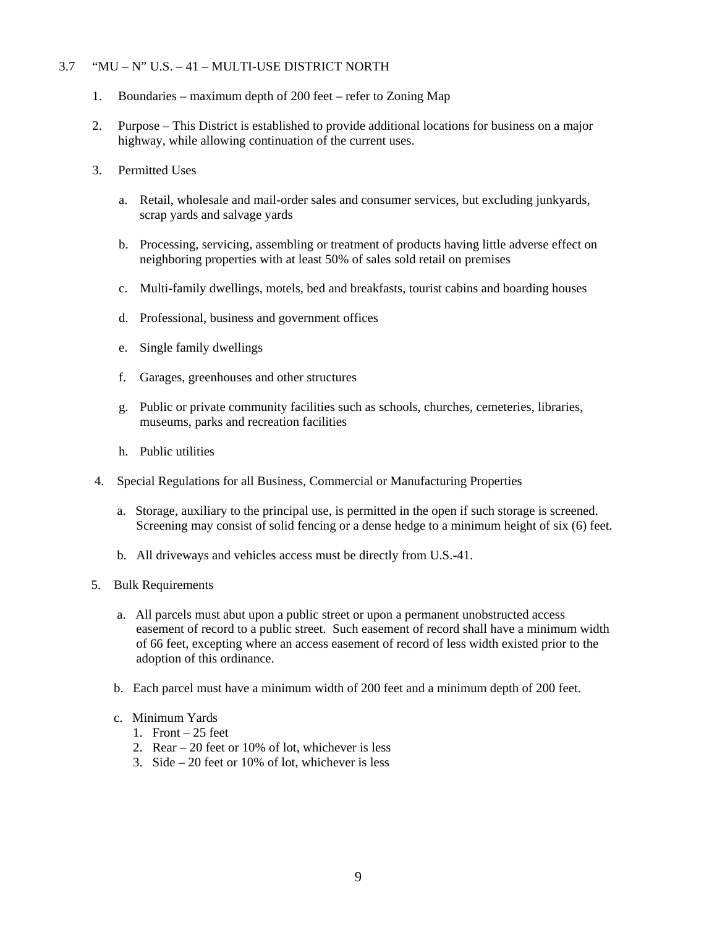### 3.7 "MU – N" U.S. – 41 – MULTI-USE DISTRICT NORTH

- 1. Boundaries maximum depth of 200 feet refer to Zoning Map
- 2. Purpose This District is established to provide additional locations for business on a major highway, while allowing continuation of the current uses.
- 3. Permitted Uses
	- a. Retail, wholesale and mail-order sales and consumer services, but excluding junkyards, scrap yards and salvage yards
	- b. Processing, servicing, assembling or treatment of products having little adverse effect on neighboring properties with at least 50% of sales sold retail on premises
	- c. Multi-family dwellings, motels, bed and breakfasts, tourist cabins and boarding houses
	- d. Professional, business and government offices
	- e. Single family dwellings
	- f. Garages, greenhouses and other structures
	- g. Public or private community facilities such as schools, churches, cemeteries, libraries, museums, parks and recreation facilities
	- h. Public utilities
- 4. Special Regulations for all Business, Commercial or Manufacturing Properties
	- a. Storage, auxiliary to the principal use, is permitted in the open if such storage is screened. Screening may consist of solid fencing or a dense hedge to a minimum height of six (6) feet.
	- b. All driveways and vehicles access must be directly from U.S.-41.
- 5. Bulk Requirements
	- a. All parcels must abut upon a public street or upon a permanent unobstructed access easement of record to a public street. Such easement of record shall have a minimum width of 66 feet, excepting where an access easement of record of less width existed prior to the adoption of this ordinance.
	- b. Each parcel must have a minimum width of 200 feet and a minimum depth of 200 feet.
	- c. Minimum Yards
		- 1. Front  $-25$  feet
		- 2. Rear 20 feet or 10% of lot, whichever is less
		- 3. Side 20 feet or 10% of lot, whichever is less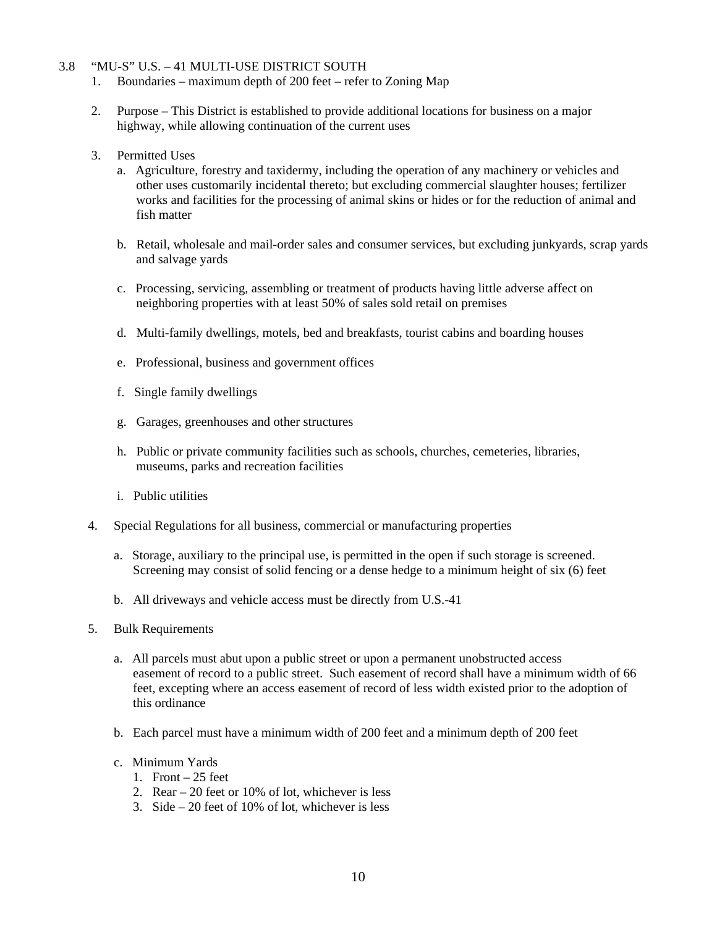#### 3.8 "MU-S" U.S. – 41 MULTI-USE DISTRICT SOUTH

- 1. Boundaries maximum depth of 200 feet refer to Zoning Map
- 2. Purpose This District is established to provide additional locations for business on a major highway, while allowing continuation of the current uses
- 3. Permitted Uses
	- a. Agriculture, forestry and taxidermy, including the operation of any machinery or vehicles and other uses customarily incidental thereto; but excluding commercial slaughter houses; fertilizer works and facilities for the processing of animal skins or hides or for the reduction of animal and fish matter
	- b. Retail, wholesale and mail-order sales and consumer services, but excluding junkyards, scrap yards and salvage yards
	- c. Processing, servicing, assembling or treatment of products having little adverse affect on neighboring properties with at least 50% of sales sold retail on premises
	- d. Multi-family dwellings, motels, bed and breakfasts, tourist cabins and boarding houses
	- e. Professional, business and government offices
	- f. Single family dwellings
	- g. Garages, greenhouses and other structures
	- h. Public or private community facilities such as schools, churches, cemeteries, libraries, museums, parks and recreation facilities
	- i. Public utilities
- 4. Special Regulations for all business, commercial or manufacturing properties
	- a. Storage, auxiliary to the principal use, is permitted in the open if such storage is screened. Screening may consist of solid fencing or a dense hedge to a minimum height of six (6) feet
	- b. All driveways and vehicle access must be directly from U.S.-41
- 5. Bulk Requirements
	- a. All parcels must abut upon a public street or upon a permanent unobstructed access easement of record to a public street. Such easement of record shall have a minimum width of 66 feet, excepting where an access easement of record of less width existed prior to the adoption of this ordinance
	- b. Each parcel must have a minimum width of 200 feet and a minimum depth of 200 feet
	- c. Minimum Yards
		- 1. Front  $-25$  feet
		- 2. Rear 20 feet or 10% of lot, whichever is less
		- 3. Side 20 feet of 10% of lot, whichever is less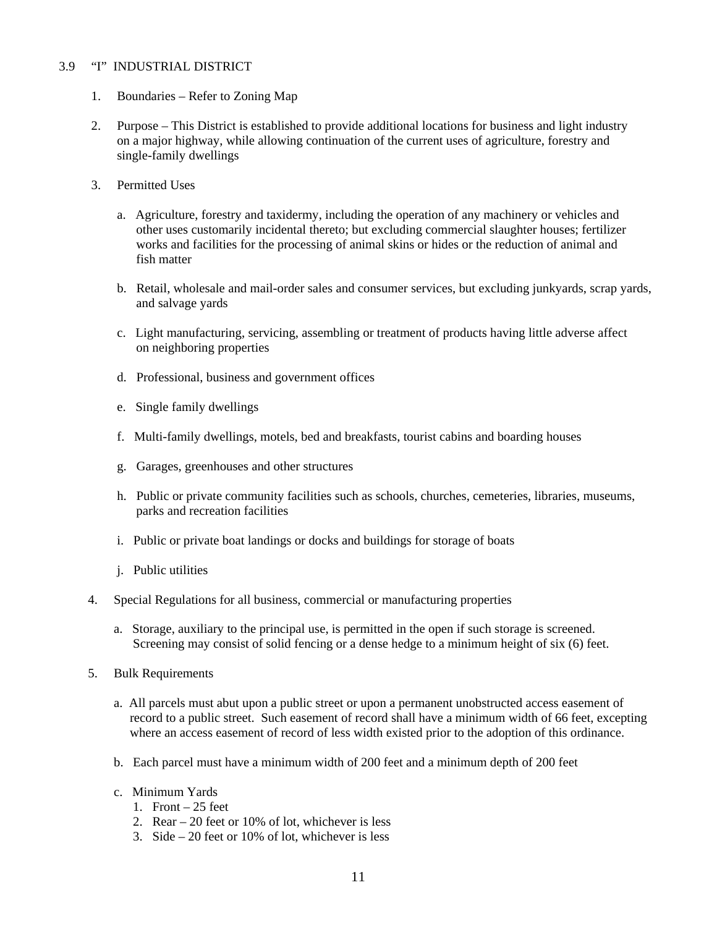### 3.9 "I" INDUSTRIAL DISTRICT

- 1. Boundaries Refer to Zoning Map
- 2. Purpose This District is established to provide additional locations for business and light industry on a major highway, while allowing continuation of the current uses of agriculture, forestry and single-family dwellings
- 3. Permitted Uses
	- a. Agriculture, forestry and taxidermy, including the operation of any machinery or vehicles and other uses customarily incidental thereto; but excluding commercial slaughter houses; fertilizer works and facilities for the processing of animal skins or hides or the reduction of animal and fish matter
	- b. Retail, wholesale and mail-order sales and consumer services, but excluding junkyards, scrap yards, and salvage yards
	- c. Light manufacturing, servicing, assembling or treatment of products having little adverse affect on neighboring properties
	- d. Professional, business and government offices
	- e. Single family dwellings
	- f. Multi-family dwellings, motels, bed and breakfasts, tourist cabins and boarding houses
	- g. Garages, greenhouses and other structures
	- h. Public or private community facilities such as schools, churches, cemeteries, libraries, museums, parks and recreation facilities
	- i. Public or private boat landings or docks and buildings for storage of boats
	- j. Public utilities
- 4. Special Regulations for all business, commercial or manufacturing properties
	- a. Storage, auxiliary to the principal use, is permitted in the open if such storage is screened. Screening may consist of solid fencing or a dense hedge to a minimum height of six (6) feet.
- 5. Bulk Requirements
	- a. All parcels must abut upon a public street or upon a permanent unobstructed access easement of record to a public street. Such easement of record shall have a minimum width of 66 feet, excepting where an access easement of record of less width existed prior to the adoption of this ordinance.
	- b. Each parcel must have a minimum width of 200 feet and a minimum depth of 200 feet
	- c. Minimum Yards
		- 1. Front  $-25$  feet
		- 2. Rear 20 feet or 10% of lot, whichever is less
		- 3. Side 20 feet or 10% of lot, whichever is less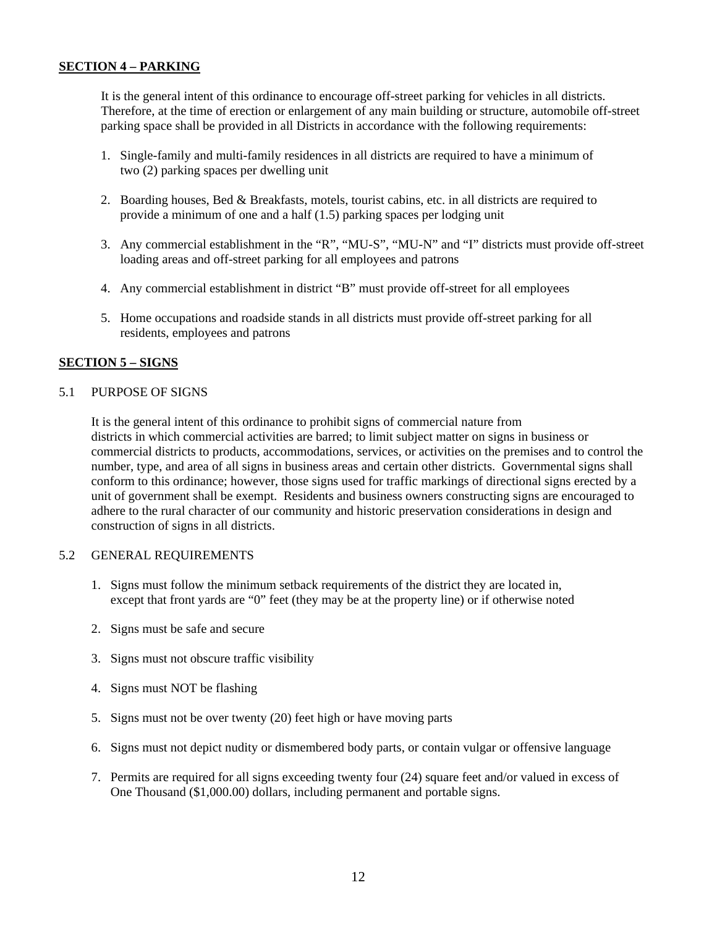## **SECTION 4 – PARKING**

 It is the general intent of this ordinance to encourage off-street parking for vehicles in all districts. Therefore, at the time of erection or enlargement of any main building or structure, automobile off-street parking space shall be provided in all Districts in accordance with the following requirements:

- 1. Single-family and multi-family residences in all districts are required to have a minimum of two (2) parking spaces per dwelling unit
- 2. Boarding houses, Bed & Breakfasts, motels, tourist cabins, etc. in all districts are required to provide a minimum of one and a half (1.5) parking spaces per lodging unit
- 3. Any commercial establishment in the "R", "MU-S", "MU-N" and "I" districts must provide off-street loading areas and off-street parking for all employees and patrons
- 4. Any commercial establishment in district "B" must provide off-street for all employees
- 5. Home occupations and roadside stands in all districts must provide off-street parking for all residents, employees and patrons

#### **SECTION 5 – SIGNS**

#### 5.1 PURPOSE OF SIGNS

 It is the general intent of this ordinance to prohibit signs of commercial nature from districts in which commercial activities are barred; to limit subject matter on signs in business or commercial districts to products, accommodations, services, or activities on the premises and to control the number, type, and area of all signs in business areas and certain other districts. Governmental signs shall conform to this ordinance; however, those signs used for traffic markings of directional signs erected by a unit of government shall be exempt. Residents and business owners constructing signs are encouraged to adhere to the rural character of our community and historic preservation considerations in design and construction of signs in all districts.

#### 5.2 GENERAL REQUIREMENTS

- 1. Signs must follow the minimum setback requirements of the district they are located in, except that front yards are "0" feet (they may be at the property line) or if otherwise noted
- 2. Signs must be safe and secure
- 3. Signs must not obscure traffic visibility
- 4. Signs must NOT be flashing
- 5. Signs must not be over twenty (20) feet high or have moving parts
- 6. Signs must not depict nudity or dismembered body parts, or contain vulgar or offensive language
- 7. Permits are required for all signs exceeding twenty four (24) square feet and/or valued in excess of One Thousand (\$1,000.00) dollars, including permanent and portable signs.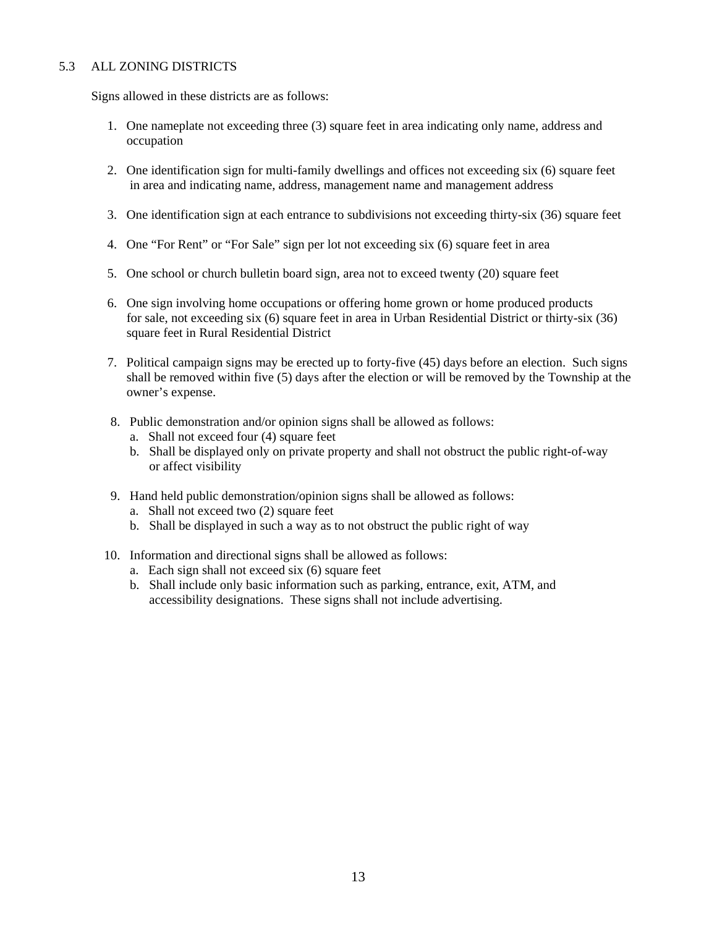## 5.3 ALL ZONING DISTRICTS

Signs allowed in these districts are as follows:

- 1. One nameplate not exceeding three (3) square feet in area indicating only name, address and occupation
- 2. One identification sign for multi-family dwellings and offices not exceeding six (6) square feet in area and indicating name, address, management name and management address
- 3. One identification sign at each entrance to subdivisions not exceeding thirty-six (36) square feet
- 4. One "For Rent" or "For Sale" sign per lot not exceeding six (6) square feet in area
- 5. One school or church bulletin board sign, area not to exceed twenty (20) square feet
- 6. One sign involving home occupations or offering home grown or home produced products for sale, not exceeding six (6) square feet in area in Urban Residential District or thirty-six (36) square feet in Rural Residential District
- 7. Political campaign signs may be erected up to forty-five (45) days before an election. Such signs shall be removed within five (5) days after the election or will be removed by the Township at the owner's expense.
- 8. Public demonstration and/or opinion signs shall be allowed as follows:
	- a. Shall not exceed four (4) square feet
	- b. Shall be displayed only on private property and shall not obstruct the public right-of-way or affect visibility
- 9. Hand held public demonstration/opinion signs shall be allowed as follows:
	- a. Shall not exceed two (2) square feet
	- b. Shall be displayed in such a way as to not obstruct the public right of way
- 10. Information and directional signs shall be allowed as follows:
	- a. Each sign shall not exceed six (6) square feet
	- b. Shall include only basic information such as parking, entrance, exit, ATM, and accessibility designations. These signs shall not include advertising.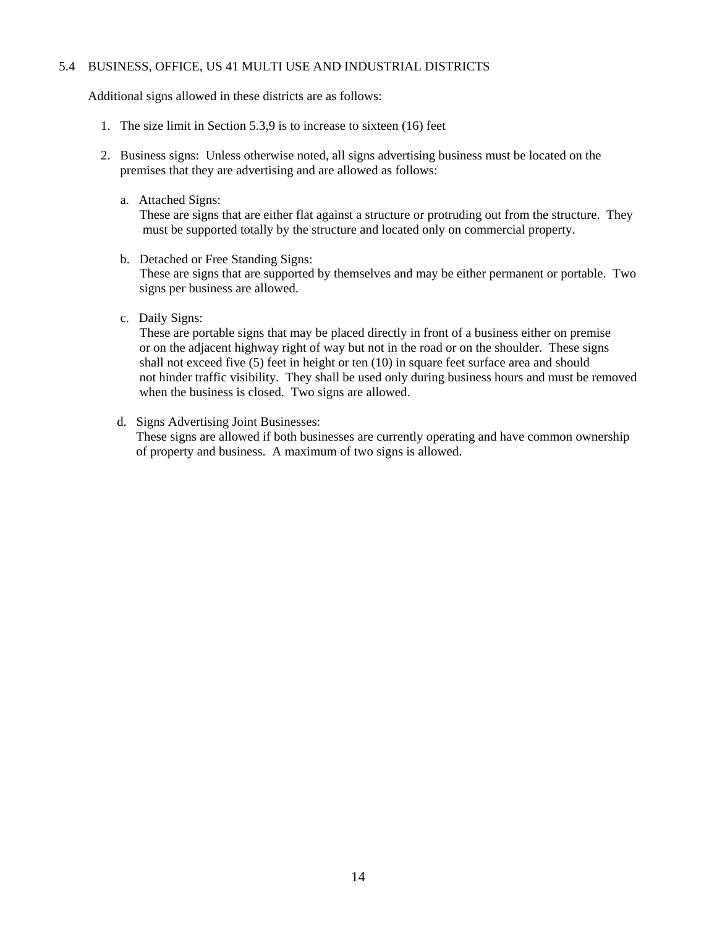### 5.4 BUSINESS, OFFICE, US 41 MULTI USE AND INDUSTRIAL DISTRICTS

Additional signs allowed in these districts are as follows:

- 1. The size limit in Section 5.3,9 is to increase to sixteen (16) feet
- 2. Business signs: Unless otherwise noted, all signs advertising business must be located on the premises that they are advertising and are allowed as follows:
	- a. Attached Signs:

 These are signs that are either flat against a structure or protruding out from the structure. They must be supported totally by the structure and located only on commercial property.

- b. Detached or Free Standing Signs: These are signs that are supported by themselves and may be either permanent or portable. Two signs per business are allowed.
- c. Daily Signs:

 These are portable signs that may be placed directly in front of a business either on premise or on the adjacent highway right of way but not in the road or on the shoulder. These signs shall not exceed five (5) feet in height or ten (10) in square feet surface area and should not hinder traffic visibility. They shall be used only during business hours and must be removed when the business is closed. Two signs are allowed.

d. Signs Advertising Joint Businesses:

 These signs are allowed if both businesses are currently operating and have common ownership of property and business. A maximum of two signs is allowed.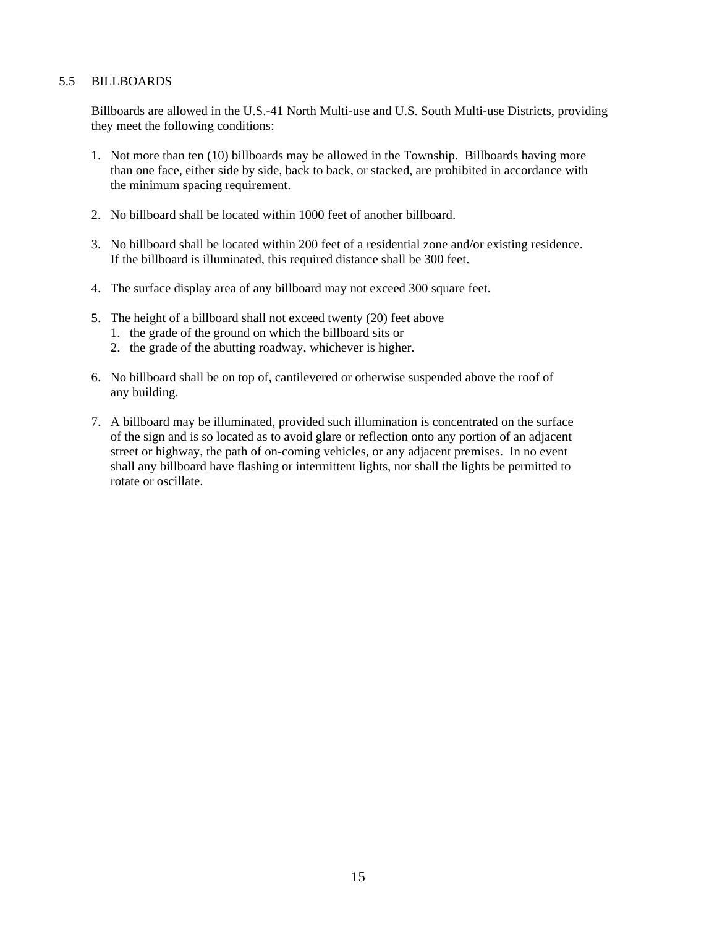#### 5.5 BILLBOARDS

 Billboards are allowed in the U.S.-41 North Multi-use and U.S. South Multi-use Districts, providing they meet the following conditions:

- 1. Not more than ten (10) billboards may be allowed in the Township. Billboards having more than one face, either side by side, back to back, or stacked, are prohibited in accordance with the minimum spacing requirement.
- 2. No billboard shall be located within 1000 feet of another billboard.
- 3. No billboard shall be located within 200 feet of a residential zone and/or existing residence. If the billboard is illuminated, this required distance shall be 300 feet.
- 4. The surface display area of any billboard may not exceed 300 square feet.
- 5. The height of a billboard shall not exceed twenty (20) feet above
	- 1. the grade of the ground on which the billboard sits or
	- 2. the grade of the abutting roadway, whichever is higher.
- 6. No billboard shall be on top of, cantilevered or otherwise suspended above the roof of any building.
- 7. A billboard may be illuminated, provided such illumination is concentrated on the surface of the sign and is so located as to avoid glare or reflection onto any portion of an adjacent street or highway, the path of on-coming vehicles, or any adjacent premises. In no event shall any billboard have flashing or intermittent lights, nor shall the lights be permitted to rotate or oscillate.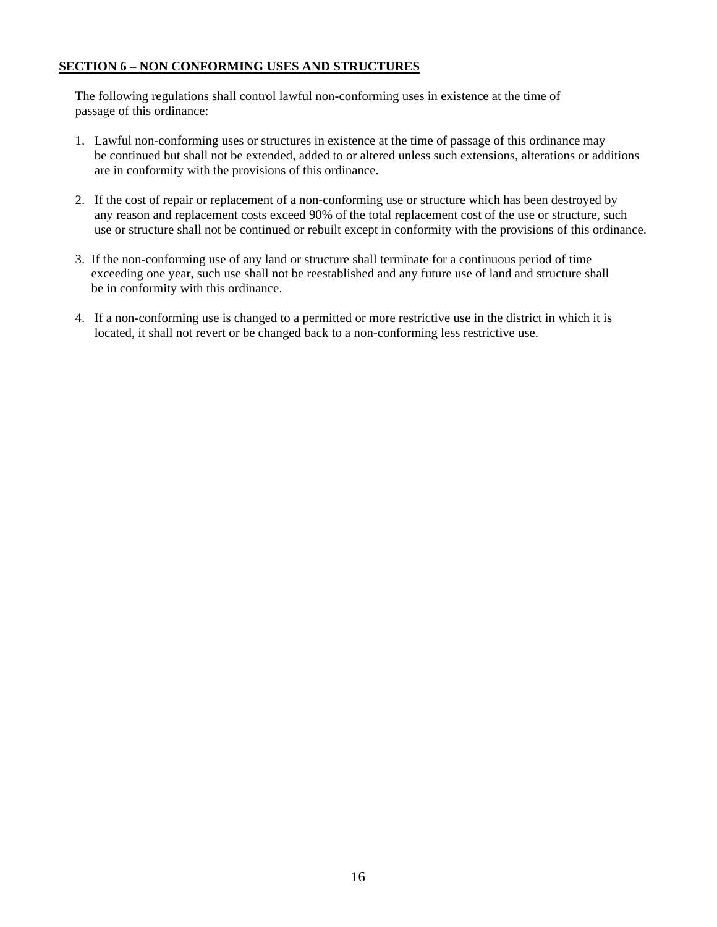## **SECTION 6 – NON CONFORMING USES AND STRUCTURES**

 The following regulations shall control lawful non-conforming uses in existence at the time of passage of this ordinance:

- 1. Lawful non-conforming uses or structures in existence at the time of passage of this ordinance may be continued but shall not be extended, added to or altered unless such extensions, alterations or additions are in conformity with the provisions of this ordinance.
- 2. If the cost of repair or replacement of a non-conforming use or structure which has been destroyed by any reason and replacement costs exceed 90% of the total replacement cost of the use or structure, such use or structure shall not be continued or rebuilt except in conformity with the provisions of this ordinance.
- 3. If the non-conforming use of any land or structure shall terminate for a continuous period of time exceeding one year, such use shall not be reestablished and any future use of land and structure shall be in conformity with this ordinance.
- 4. If a non-conforming use is changed to a permitted or more restrictive use in the district in which it is located, it shall not revert or be changed back to a non-conforming less restrictive use.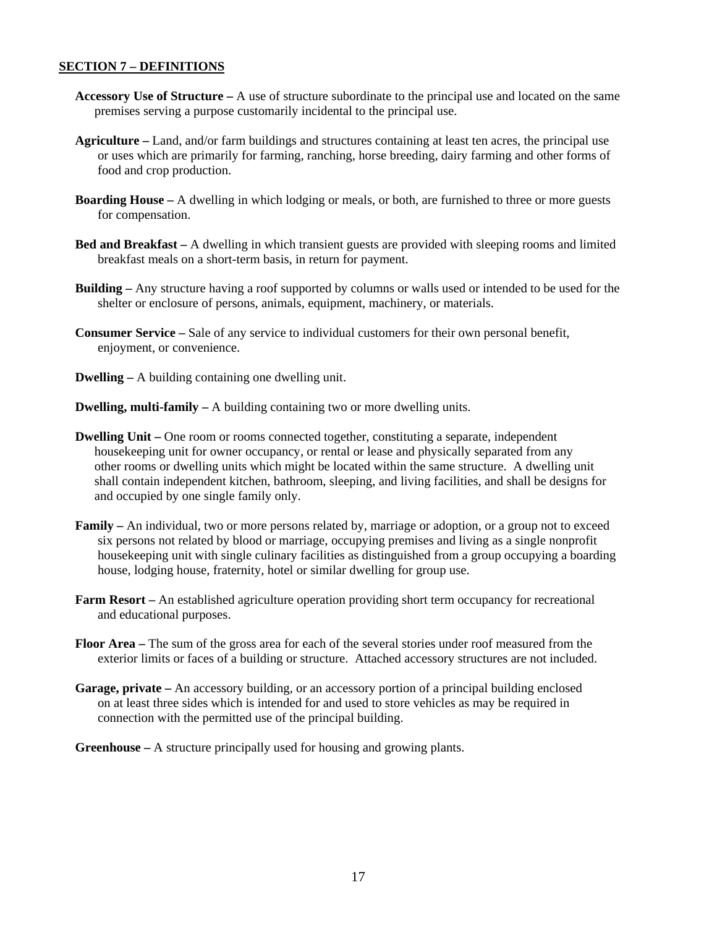## **SECTION 7 – DEFINITIONS**

- **Accessory Use of Structure** A use of structure subordinate to the principal use and located on the same premises serving a purpose customarily incidental to the principal use.
- **Agriculture** Land, and/or farm buildings and structures containing at least ten acres, the principal use or uses which are primarily for farming, ranching, horse breeding, dairy farming and other forms of food and crop production.
- **Boarding House** A dwelling in which lodging or meals, or both, are furnished to three or more guests for compensation.
- **Bed and Breakfast** A dwelling in which transient guests are provided with sleeping rooms and limited breakfast meals on a short-term basis, in return for payment.
- **Building** Any structure having a roof supported by columns or walls used or intended to be used for the shelter or enclosure of persons, animals, equipment, machinery, or materials.
- **Consumer Service** Sale of any service to individual customers for their own personal benefit, enjoyment, or convenience.
- **Dwelling** A building containing one dwelling unit.
- **Dwelling, multi-family** A building containing two or more dwelling units.
- **Dwelling Unit** One room or rooms connected together, constituting a separate, independent housekeeping unit for owner occupancy, or rental or lease and physically separated from any other rooms or dwelling units which might be located within the same structure. A dwelling unit shall contain independent kitchen, bathroom, sleeping, and living facilities, and shall be designs for and occupied by one single family only.
- **Family** An individual, two or more persons related by, marriage or adoption, or a group not to exceed six persons not related by blood or marriage, occupying premises and living as a single nonprofit housekeeping unit with single culinary facilities as distinguished from a group occupying a boarding house, lodging house, fraternity, hotel or similar dwelling for group use.
- **Farm Resort** An established agriculture operation providing short term occupancy for recreational and educational purposes.
- **Floor Area** The sum of the gross area for each of the several stories under roof measured from the exterior limits or faces of a building or structure. Attached accessory structures are not included.
- **Garage, private** An accessory building, or an accessory portion of a principal building enclosed on at least three sides which is intended for and used to store vehicles as may be required in connection with the permitted use of the principal building.
- **Greenhouse** A structure principally used for housing and growing plants.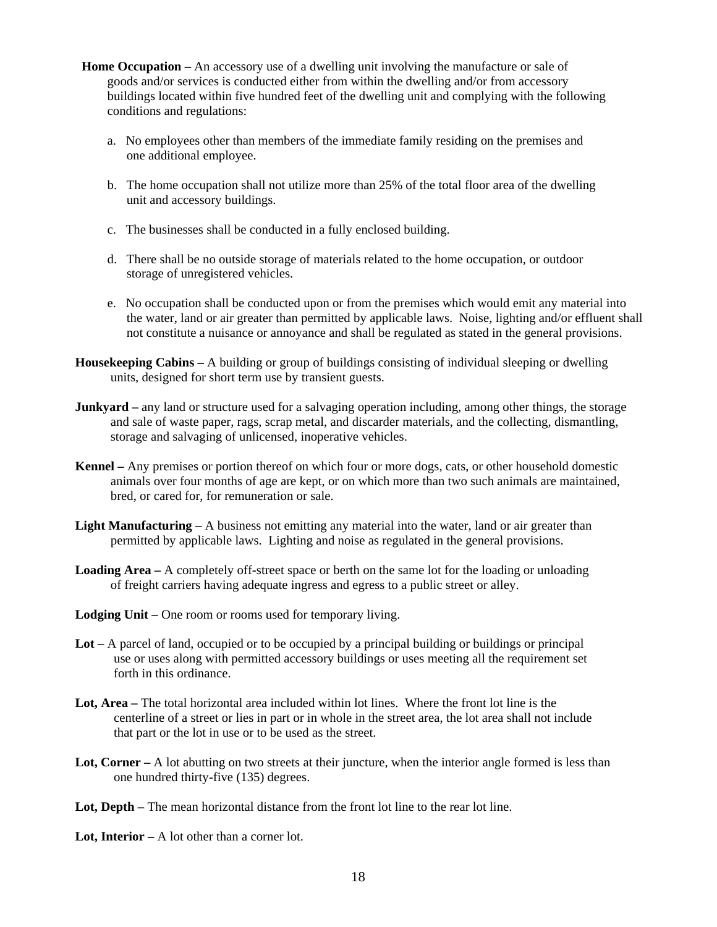- **Home Occupation** An accessory use of a dwelling unit involving the manufacture or sale of goods and/or services is conducted either from within the dwelling and/or from accessory buildings located within five hundred feet of the dwelling unit and complying with the following conditions and regulations:
	- a. No employees other than members of the immediate family residing on the premises and one additional employee.
	- b. The home occupation shall not utilize more than 25% of the total floor area of the dwelling unit and accessory buildings.
	- c. The businesses shall be conducted in a fully enclosed building.
	- d. There shall be no outside storage of materials related to the home occupation, or outdoor storage of unregistered vehicles.
	- e. No occupation shall be conducted upon or from the premises which would emit any material into the water, land or air greater than permitted by applicable laws. Noise, lighting and/or effluent shall not constitute a nuisance or annoyance and shall be regulated as stated in the general provisions.
- **Housekeeping Cabins** A building or group of buildings consisting of individual sleeping or dwelling units, designed for short term use by transient guests.
- **Junkyard** any land or structure used for a salvaging operation including, among other things, the storage and sale of waste paper, rags, scrap metal, and discarder materials, and the collecting, dismantling, storage and salvaging of unlicensed, inoperative vehicles.
- **Kennel** Any premises or portion thereof on which four or more dogs, cats, or other household domestic animals over four months of age are kept, or on which more than two such animals are maintained, bred, or cared for, for remuneration or sale.
- **Light Manufacturing** A business not emitting any material into the water, land or air greater than permitted by applicable laws. Lighting and noise as regulated in the general provisions.
- **Loading Area** A completely off-street space or berth on the same lot for the loading or unloading of freight carriers having adequate ingress and egress to a public street or alley.
- Lodging Unit One room or rooms used for temporary living.
- **Lot** A parcel of land, occupied or to be occupied by a principal building or buildings or principal use or uses along with permitted accessory buildings or uses meeting all the requirement set forth in this ordinance.
- Lot, Area The total horizontal area included within lot lines. Where the front lot line is the centerline of a street or lies in part or in whole in the street area, the lot area shall not include that part or the lot in use or to be used as the street.
- Lot, Corner A lot abutting on two streets at their juncture, when the interior angle formed is less than one hundred thirty-five (135) degrees.
- Lot, Depth The mean horizontal distance from the front lot line to the rear lot line.
- **Lot, Interior** A lot other than a corner lot.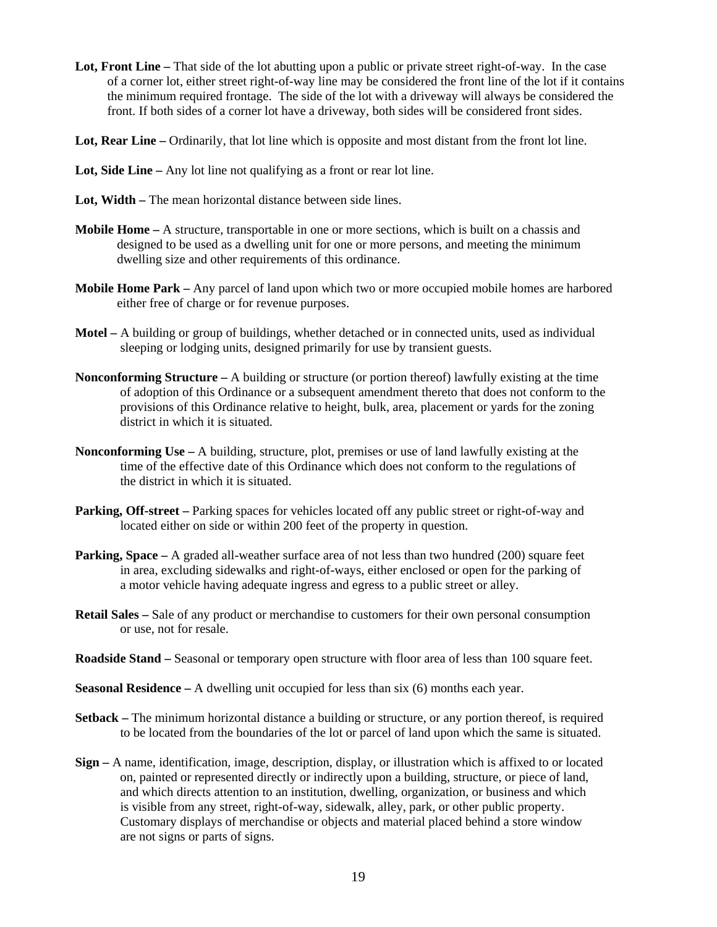- **Lot, Front Line** That side of the lot abutting upon a public or private street right-of-way. In the case of a corner lot, either street right-of-way line may be considered the front line of the lot if it contains the minimum required frontage. The side of the lot with a driveway will always be considered the front. If both sides of a corner lot have a driveway, both sides will be considered front sides.
- **Lot, Rear Line** Ordinarily, that lot line which is opposite and most distant from the front lot line.
- **Lot, Side Line** Any lot line not qualifying as a front or rear lot line.
- Lot, Width The mean horizontal distance between side lines.
- **Mobile Home** A structure, transportable in one or more sections, which is built on a chassis and designed to be used as a dwelling unit for one or more persons, and meeting the minimum dwelling size and other requirements of this ordinance.
- **Mobile Home Park** Any parcel of land upon which two or more occupied mobile homes are harbored either free of charge or for revenue purposes.
- **Motel** A building or group of buildings, whether detached or in connected units, used as individual sleeping or lodging units, designed primarily for use by transient guests.
- **Nonconforming Structure** A building or structure (or portion thereof) lawfully existing at the time of adoption of this Ordinance or a subsequent amendment thereto that does not conform to the provisions of this Ordinance relative to height, bulk, area, placement or yards for the zoning district in which it is situated.
- **Nonconforming Use** A building, structure, plot, premises or use of land lawfully existing at the time of the effective date of this Ordinance which does not conform to the regulations of the district in which it is situated.
- **Parking, Off-street** Parking spaces for vehicles located off any public street or right-of-way and located either on side or within 200 feet of the property in question.
- **Parking, Space** A graded all-weather surface area of not less than two hundred (200) square feet in area, excluding sidewalks and right-of-ways, either enclosed or open for the parking of a motor vehicle having adequate ingress and egress to a public street or alley.
- **Retail Sales –** Sale of any product or merchandise to customers for their own personal consumption or use, not for resale.
- **Roadside Stand** Seasonal or temporary open structure with floor area of less than 100 square feet.
- **Seasonal Residence** A dwelling unit occupied for less than six (6) months each year.
- **Setback** The minimum horizontal distance a building or structure, or any portion thereof, is required to be located from the boundaries of the lot or parcel of land upon which the same is situated.
- **Sign** A name, identification, image, description, display, or illustration which is affixed to or located on, painted or represented directly or indirectly upon a building, structure, or piece of land, and which directs attention to an institution, dwelling, organization, or business and which is visible from any street, right-of-way, sidewalk, alley, park, or other public property. Customary displays of merchandise or objects and material placed behind a store window are not signs or parts of signs.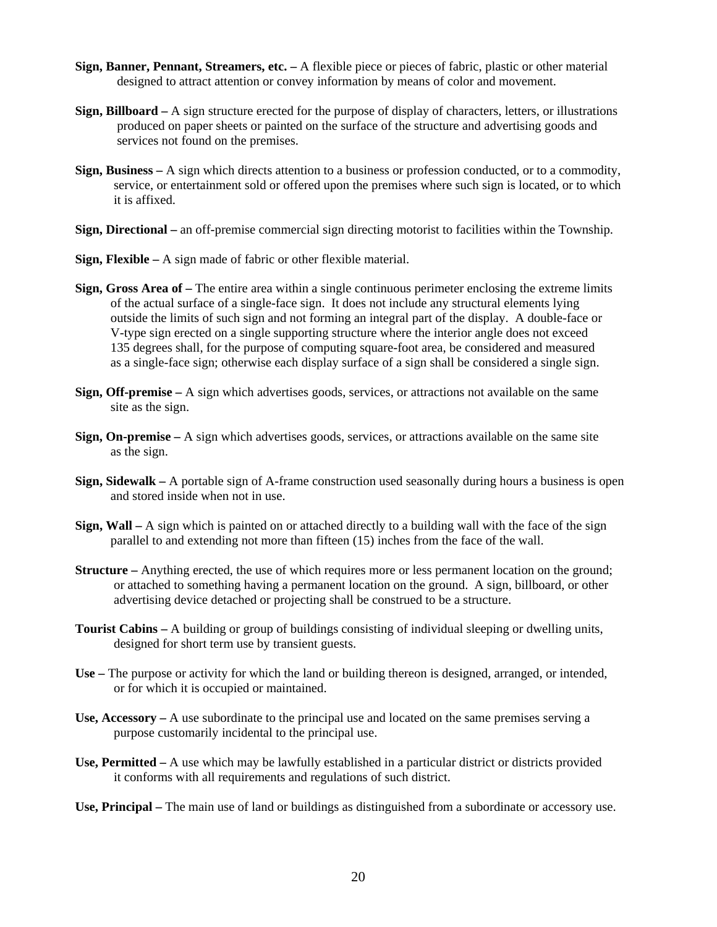- **Sign, Banner, Pennant, Streamers, etc.** A flexible piece or pieces of fabric, plastic or other material designed to attract attention or convey information by means of color and movement.
- **Sign, Billboard** A sign structure erected for the purpose of display of characters, letters, or illustrations produced on paper sheets or painted on the surface of the structure and advertising goods and services not found on the premises.
- **Sign, Business** A sign which directs attention to a business or profession conducted, or to a commodity, service, or entertainment sold or offered upon the premises where such sign is located, or to which it is affixed.
- **Sign, Directional** an off-premise commercial sign directing motorist to facilities within the Township.
- **Sign, Flexible** A sign made of fabric or other flexible material.
- **Sign, Gross Area of** The entire area within a single continuous perimeter enclosing the extreme limits of the actual surface of a single-face sign. It does not include any structural elements lying outside the limits of such sign and not forming an integral part of the display. A double-face or V-type sign erected on a single supporting structure where the interior angle does not exceed 135 degrees shall, for the purpose of computing square-foot area, be considered and measured as a single-face sign; otherwise each display surface of a sign shall be considered a single sign.
- **Sign, Off-premise** A sign which advertises goods, services, or attractions not available on the same site as the sign.
- **Sign, On-premise** A sign which advertises goods, services, or attractions available on the same site as the sign.
- **Sign, Sidewalk** A portable sign of A-frame construction used seasonally during hours a business is open and stored inside when not in use.
- **Sign, Wall** A sign which is painted on or attached directly to a building wall with the face of the sign parallel to and extending not more than fifteen (15) inches from the face of the wall.
- **Structure** Anything erected, the use of which requires more or less permanent location on the ground; or attached to something having a permanent location on the ground. A sign, billboard, or other advertising device detached or projecting shall be construed to be a structure.
- **Tourist Cabins** A building or group of buildings consisting of individual sleeping or dwelling units, designed for short term use by transient guests.
- **Use** The purpose or activity for which the land or building thereon is designed, arranged, or intended, or for which it is occupied or maintained.
- **Use, Accessory** A use subordinate to the principal use and located on the same premises serving a purpose customarily incidental to the principal use.
- **Use, Permitted** A use which may be lawfully established in a particular district or districts provided it conforms with all requirements and regulations of such district.
- **Use, Principal** The main use of land or buildings as distinguished from a subordinate or accessory use.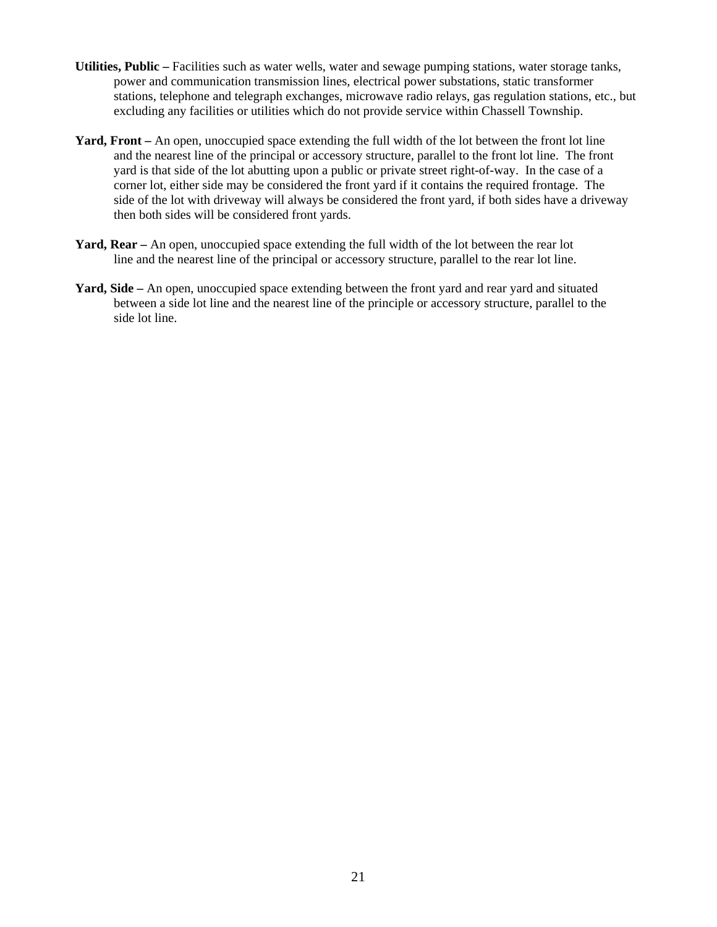- **Utilities, Public** Facilities such as water wells, water and sewage pumping stations, water storage tanks, power and communication transmission lines, electrical power substations, static transformer stations, telephone and telegraph exchanges, microwave radio relays, gas regulation stations, etc., but excluding any facilities or utilities which do not provide service within Chassell Township.
- **Yard, Front** An open, unoccupied space extending the full width of the lot between the front lot line and the nearest line of the principal or accessory structure, parallel to the front lot line. The front yard is that side of the lot abutting upon a public or private street right-of-way. In the case of a corner lot, either side may be considered the front yard if it contains the required frontage. The side of the lot with driveway will always be considered the front yard, if both sides have a driveway then both sides will be considered front yards.
- **Yard, Rear** An open, unoccupied space extending the full width of the lot between the rear lot line and the nearest line of the principal or accessory structure, parallel to the rear lot line.
- **Yard, Side** An open, unoccupied space extending between the front yard and rear yard and situated between a side lot line and the nearest line of the principle or accessory structure, parallel to the side lot line.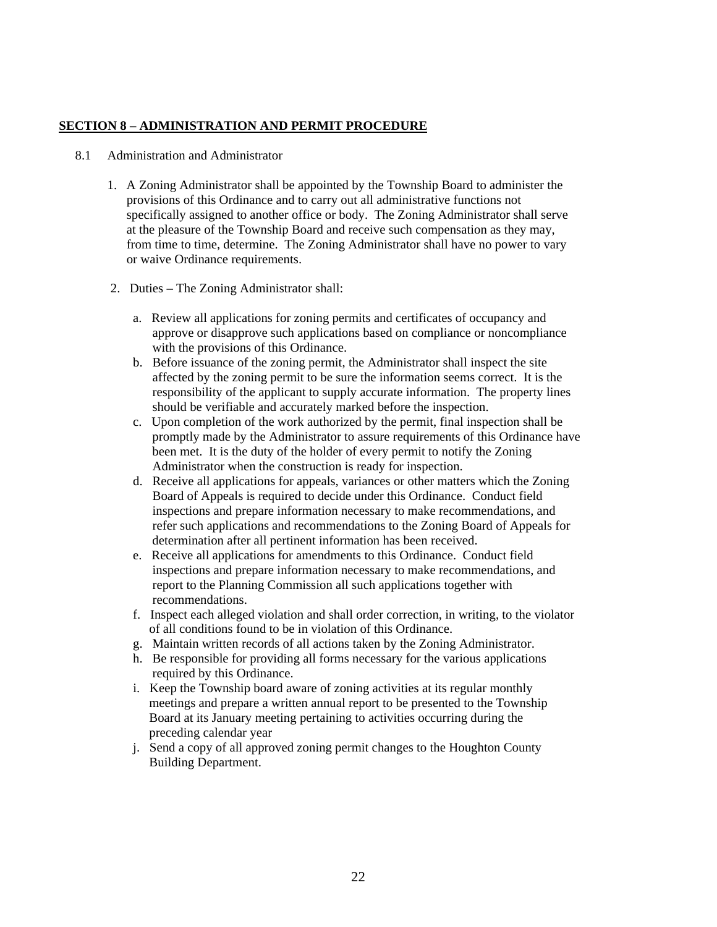## **SECTION 8 – ADMINISTRATION AND PERMIT PROCEDURE**

#### 8.1 Administration and Administrator

- 1. A Zoning Administrator shall be appointed by the Township Board to administer the provisions of this Ordinance and to carry out all administrative functions not specifically assigned to another office or body. The Zoning Administrator shall serve at the pleasure of the Township Board and receive such compensation as they may, from time to time, determine. The Zoning Administrator shall have no power to vary or waive Ordinance requirements.
- 2. Duties The Zoning Administrator shall:
	- a. Review all applications for zoning permits and certificates of occupancy and approve or disapprove such applications based on compliance or noncompliance with the provisions of this Ordinance.
	- b. Before issuance of the zoning permit, the Administrator shall inspect the site affected by the zoning permit to be sure the information seems correct. It is the responsibility of the applicant to supply accurate information. The property lines should be verifiable and accurately marked before the inspection.
	- c. Upon completion of the work authorized by the permit, final inspection shall be promptly made by the Administrator to assure requirements of this Ordinance have been met. It is the duty of the holder of every permit to notify the Zoning Administrator when the construction is ready for inspection.
	- d. Receive all applications for appeals, variances or other matters which the Zoning Board of Appeals is required to decide under this Ordinance. Conduct field inspections and prepare information necessary to make recommendations, and refer such applications and recommendations to the Zoning Board of Appeals for determination after all pertinent information has been received.
	- e. Receive all applications for amendments to this Ordinance. Conduct field inspections and prepare information necessary to make recommendations, and report to the Planning Commission all such applications together with recommendations.
	- f. Inspect each alleged violation and shall order correction, in writing, to the violator of all conditions found to be in violation of this Ordinance.
	- g. Maintain written records of all actions taken by the Zoning Administrator.
	- h. Be responsible for providing all forms necessary for the various applications required by this Ordinance.
	- i. Keep the Township board aware of zoning activities at its regular monthly meetings and prepare a written annual report to be presented to the Township Board at its January meeting pertaining to activities occurring during the preceding calendar year
	- j. Send a copy of all approved zoning permit changes to the Houghton County Building Department.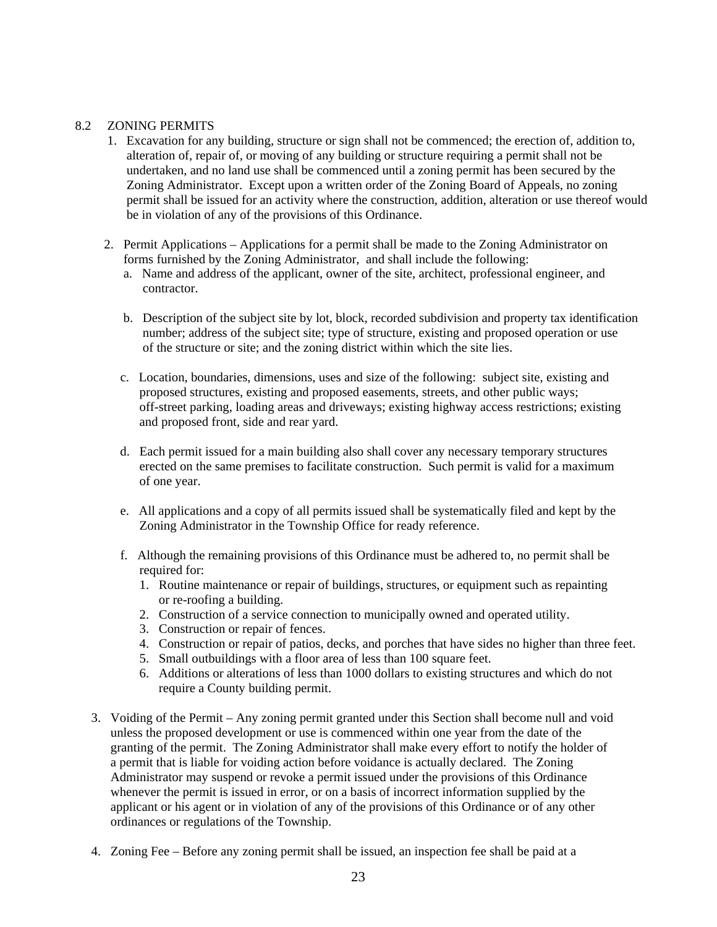## 8.2 ZONING PERMITS

- 1. Excavation for any building, structure or sign shall not be commenced; the erection of, addition to, alteration of, repair of, or moving of any building or structure requiring a permit shall not be undertaken, and no land use shall be commenced until a zoning permit has been secured by the Zoning Administrator. Except upon a written order of the Zoning Board of Appeals, no zoning permit shall be issued for an activity where the construction, addition, alteration or use thereof would be in violation of any of the provisions of this Ordinance.
- 2. Permit Applications Applications for a permit shall be made to the Zoning Administrator on forms furnished by the Zoning Administrator, and shall include the following:
	- a. Name and address of the applicant, owner of the site, architect, professional engineer, and contractor.
	- b. Description of the subject site by lot, block, recorded subdivision and property tax identification number; address of the subject site; type of structure, existing and proposed operation or use of the structure or site; and the zoning district within which the site lies.
	- c. Location, boundaries, dimensions, uses and size of the following: subject site, existing and proposed structures, existing and proposed easements, streets, and other public ways; off-street parking, loading areas and driveways; existing highway access restrictions; existing and proposed front, side and rear yard.
	- d. Each permit issued for a main building also shall cover any necessary temporary structures erected on the same premises to facilitate construction. Such permit is valid for a maximum of one year.
	- e. All applications and a copy of all permits issued shall be systematically filed and kept by the Zoning Administrator in the Township Office for ready reference.
	- f. Although the remaining provisions of this Ordinance must be adhered to, no permit shall be required for:
		- 1. Routine maintenance or repair of buildings, structures, or equipment such as repainting or re-roofing a building.
		- 2. Construction of a service connection to municipally owned and operated utility.
		- 3. Construction or repair of fences.
		- 4. Construction or repair of patios, decks, and porches that have sides no higher than three feet.
		- 5. Small outbuildings with a floor area of less than 100 square feet.
		- 6. Additions or alterations of less than 1000 dollars to existing structures and which do not require a County building permit.
- 3. Voiding of the Permit Any zoning permit granted under this Section shall become null and void unless the proposed development or use is commenced within one year from the date of the granting of the permit. The Zoning Administrator shall make every effort to notify the holder of a permit that is liable for voiding action before voidance is actually declared. The Zoning Administrator may suspend or revoke a permit issued under the provisions of this Ordinance whenever the permit is issued in error, or on a basis of incorrect information supplied by the applicant or his agent or in violation of any of the provisions of this Ordinance or of any other ordinances or regulations of the Township.
- 4. Zoning Fee Before any zoning permit shall be issued, an inspection fee shall be paid at a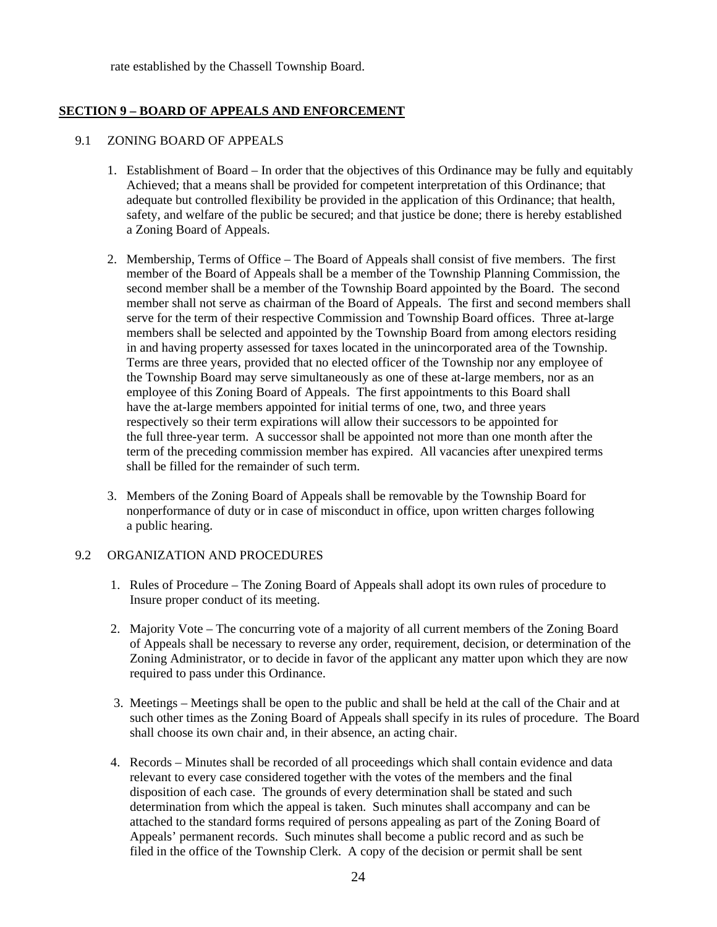rate established by the Chassell Township Board.

## **SECTION 9 – BOARD OF APPEALS AND ENFORCEMENT**

## 9.1 ZONING BOARD OF APPEALS

- 1. Establishment of Board In order that the objectives of this Ordinance may be fully and equitably Achieved; that a means shall be provided for competent interpretation of this Ordinance; that adequate but controlled flexibility be provided in the application of this Ordinance; that health, safety, and welfare of the public be secured; and that justice be done; there is hereby established a Zoning Board of Appeals.
- 2. Membership, Terms of Office The Board of Appeals shall consist of five members. The first member of the Board of Appeals shall be a member of the Township Planning Commission, the second member shall be a member of the Township Board appointed by the Board. The second member shall not serve as chairman of the Board of Appeals. The first and second members shall serve for the term of their respective Commission and Township Board offices. Three at-large members shall be selected and appointed by the Township Board from among electors residing in and having property assessed for taxes located in the unincorporated area of the Township. Terms are three years, provided that no elected officer of the Township nor any employee of the Township Board may serve simultaneously as one of these at-large members, nor as an employee of this Zoning Board of Appeals. The first appointments to this Board shall have the at-large members appointed for initial terms of one, two, and three years respectively so their term expirations will allow their successors to be appointed for the full three-year term. A successor shall be appointed not more than one month after the term of the preceding commission member has expired. All vacancies after unexpired terms shall be filled for the remainder of such term.
- 3. Members of the Zoning Board of Appeals shall be removable by the Township Board for nonperformance of duty or in case of misconduct in office, upon written charges following a public hearing.

## 9.2 ORGANIZATION AND PROCEDURES

- 1. Rules of Procedure The Zoning Board of Appeals shall adopt its own rules of procedure to Insure proper conduct of its meeting.
- 2. Majority Vote The concurring vote of a majority of all current members of the Zoning Board of Appeals shall be necessary to reverse any order, requirement, decision, or determination of the Zoning Administrator, or to decide in favor of the applicant any matter upon which they are now required to pass under this Ordinance.
- 3. Meetings Meetings shall be open to the public and shall be held at the call of the Chair and at such other times as the Zoning Board of Appeals shall specify in its rules of procedure. The Board shall choose its own chair and, in their absence, an acting chair.
- 4. Records Minutes shall be recorded of all proceedings which shall contain evidence and data relevant to every case considered together with the votes of the members and the final disposition of each case. The grounds of every determination shall be stated and such determination from which the appeal is taken. Such minutes shall accompany and can be attached to the standard forms required of persons appealing as part of the Zoning Board of Appeals' permanent records. Such minutes shall become a public record and as such be filed in the office of the Township Clerk. A copy of the decision or permit shall be sent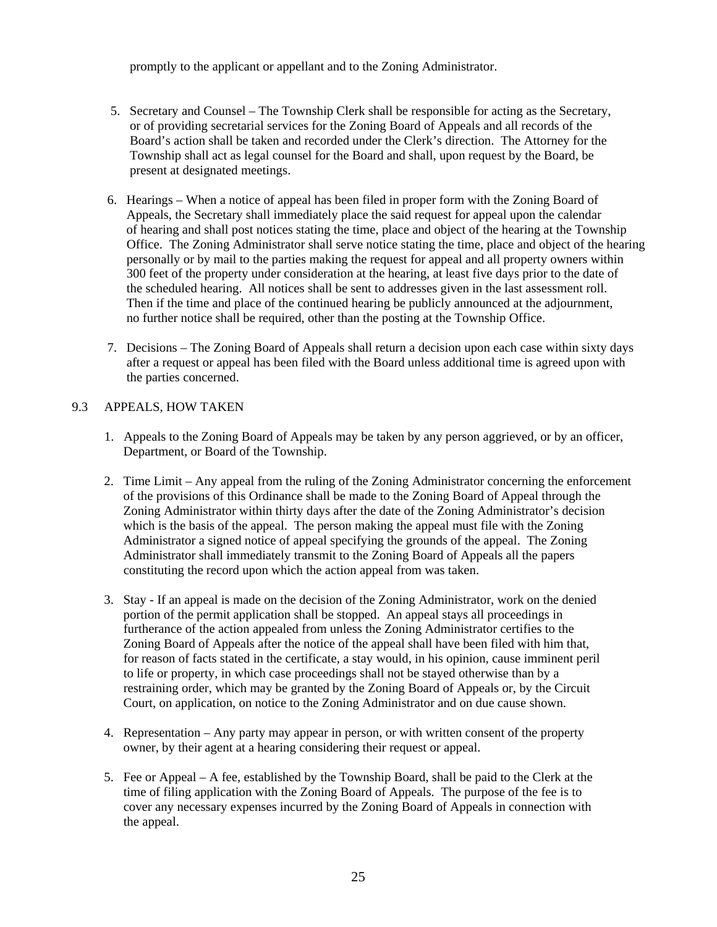promptly to the applicant or appellant and to the Zoning Administrator.

- 5. Secretary and Counsel The Township Clerk shall be responsible for acting as the Secretary, or of providing secretarial services for the Zoning Board of Appeals and all records of the Board's action shall be taken and recorded under the Clerk's direction. The Attorney for the Township shall act as legal counsel for the Board and shall, upon request by the Board, be present at designated meetings.
- 6. Hearings When a notice of appeal has been filed in proper form with the Zoning Board of Appeals, the Secretary shall immediately place the said request for appeal upon the calendar of hearing and shall post notices stating the time, place and object of the hearing at the Township Office. The Zoning Administrator shall serve notice stating the time, place and object of the hearing personally or by mail to the parties making the request for appeal and all property owners within 300 feet of the property under consideration at the hearing, at least five days prior to the date of the scheduled hearing. All notices shall be sent to addresses given in the last assessment roll. Then if the time and place of the continued hearing be publicly announced at the adjournment, no further notice shall be required, other than the posting at the Township Office.
- 7. Decisions The Zoning Board of Appeals shall return a decision upon each case within sixty days after a request or appeal has been filed with the Board unless additional time is agreed upon with the parties concerned.

## 9.3 APPEALS, HOW TAKEN

- 1. Appeals to the Zoning Board of Appeals may be taken by any person aggrieved, or by an officer, Department, or Board of the Township.
- 2. Time Limit Any appeal from the ruling of the Zoning Administrator concerning the enforcement of the provisions of this Ordinance shall be made to the Zoning Board of Appeal through the Zoning Administrator within thirty days after the date of the Zoning Administrator's decision which is the basis of the appeal. The person making the appeal must file with the Zoning Administrator a signed notice of appeal specifying the grounds of the appeal. The Zoning Administrator shall immediately transmit to the Zoning Board of Appeals all the papers constituting the record upon which the action appeal from was taken.
- 3. Stay If an appeal is made on the decision of the Zoning Administrator, work on the denied portion of the permit application shall be stopped. An appeal stays all proceedings in furtherance of the action appealed from unless the Zoning Administrator certifies to the Zoning Board of Appeals after the notice of the appeal shall have been filed with him that, for reason of facts stated in the certificate, a stay would, in his opinion, cause imminent peril to life or property, in which case proceedings shall not be stayed otherwise than by a restraining order, which may be granted by the Zoning Board of Appeals or, by the Circuit Court, on application, on notice to the Zoning Administrator and on due cause shown.
- 4. Representation Any party may appear in person, or with written consent of the property owner, by their agent at a hearing considering their request or appeal.
- 5. Fee or Appeal A fee, established by the Township Board, shall be paid to the Clerk at the time of filing application with the Zoning Board of Appeals. The purpose of the fee is to cover any necessary expenses incurred by the Zoning Board of Appeals in connection with the appeal.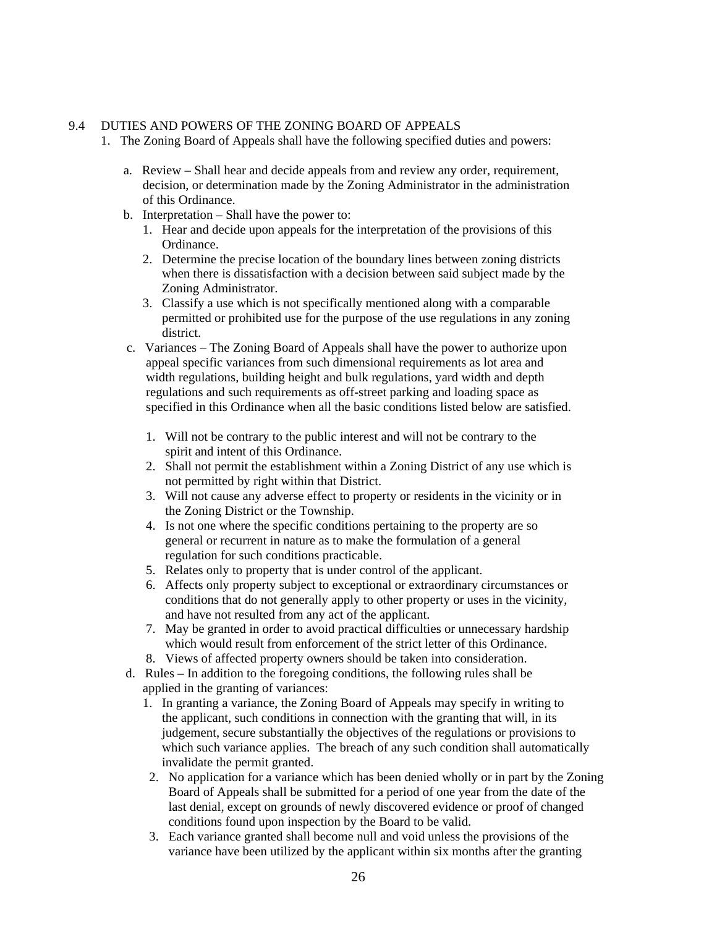## 9.4 DUTIES AND POWERS OF THE ZONING BOARD OF APPEALS

- 1. The Zoning Board of Appeals shall have the following specified duties and powers:
	- a. Review Shall hear and decide appeals from and review any order, requirement, decision, or determination made by the Zoning Administrator in the administration of this Ordinance.
	- b. Interpretation Shall have the power to:
		- 1. Hear and decide upon appeals for the interpretation of the provisions of this Ordinance.
		- 2. Determine the precise location of the boundary lines between zoning districts when there is dissatisfaction with a decision between said subject made by the Zoning Administrator.
		- 3. Classify a use which is not specifically mentioned along with a comparable permitted or prohibited use for the purpose of the use regulations in any zoning district.
	- c. Variances The Zoning Board of Appeals shall have the power to authorize upon appeal specific variances from such dimensional requirements as lot area and width regulations, building height and bulk regulations, yard width and depth regulations and such requirements as off-street parking and loading space as specified in this Ordinance when all the basic conditions listed below are satisfied.
		- 1. Will not be contrary to the public interest and will not be contrary to the spirit and intent of this Ordinance.
		- 2. Shall not permit the establishment within a Zoning District of any use which is not permitted by right within that District.
		- 3. Will not cause any adverse effect to property or residents in the vicinity or in the Zoning District or the Township.
		- 4. Is not one where the specific conditions pertaining to the property are so general or recurrent in nature as to make the formulation of a general regulation for such conditions practicable.
		- 5. Relates only to property that is under control of the applicant.
		- 6. Affects only property subject to exceptional or extraordinary circumstances or conditions that do not generally apply to other property or uses in the vicinity, and have not resulted from any act of the applicant.
		- 7. May be granted in order to avoid practical difficulties or unnecessary hardship which would result from enforcement of the strict letter of this Ordinance.
		- 8. Views of affected property owners should be taken into consideration.
	- d. Rules In addition to the foregoing conditions, the following rules shall be applied in the granting of variances:
		- 1. In granting a variance, the Zoning Board of Appeals may specify in writing to the applicant, such conditions in connection with the granting that will, in its judgement, secure substantially the objectives of the regulations or provisions to which such variance applies. The breach of any such condition shall automatically invalidate the permit granted.
		- 2. No application for a variance which has been denied wholly or in part by the Zoning Board of Appeals shall be submitted for a period of one year from the date of the last denial, except on grounds of newly discovered evidence or proof of changed conditions found upon inspection by the Board to be valid.
		- 3. Each variance granted shall become null and void unless the provisions of the variance have been utilized by the applicant within six months after the granting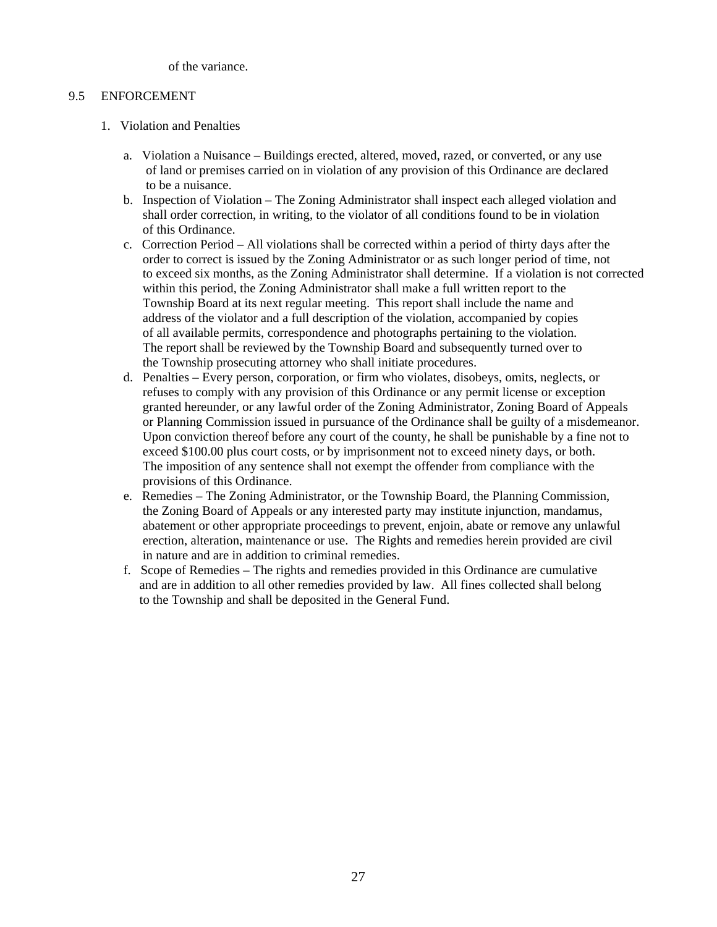of the variance.

## 9.5 ENFORCEMENT

- 1. Violation and Penalties
	- a. Violation a Nuisance Buildings erected, altered, moved, razed, or converted, or any use of land or premises carried on in violation of any provision of this Ordinance are declared to be a nuisance.
	- b. Inspection of Violation The Zoning Administrator shall inspect each alleged violation and shall order correction, in writing, to the violator of all conditions found to be in violation of this Ordinance.
	- c. Correction Period All violations shall be corrected within a period of thirty days after the order to correct is issued by the Zoning Administrator or as such longer period of time, not to exceed six months, as the Zoning Administrator shall determine. If a violation is not corrected within this period, the Zoning Administrator shall make a full written report to the Township Board at its next regular meeting. This report shall include the name and address of the violator and a full description of the violation, accompanied by copies of all available permits, correspondence and photographs pertaining to the violation. The report shall be reviewed by the Township Board and subsequently turned over to the Township prosecuting attorney who shall initiate procedures.
	- d. Penalties Every person, corporation, or firm who violates, disobeys, omits, neglects, or refuses to comply with any provision of this Ordinance or any permit license or exception granted hereunder, or any lawful order of the Zoning Administrator, Zoning Board of Appeals or Planning Commission issued in pursuance of the Ordinance shall be guilty of a misdemeanor. Upon conviction thereof before any court of the county, he shall be punishable by a fine not to exceed \$100.00 plus court costs, or by imprisonment not to exceed ninety days, or both. The imposition of any sentence shall not exempt the offender from compliance with the provisions of this Ordinance.
	- e. Remedies The Zoning Administrator, or the Township Board, the Planning Commission, the Zoning Board of Appeals or any interested party may institute injunction, mandamus, abatement or other appropriate proceedings to prevent, enjoin, abate or remove any unlawful erection, alteration, maintenance or use. The Rights and remedies herein provided are civil in nature and are in addition to criminal remedies.
	- f. Scope of Remedies The rights and remedies provided in this Ordinance are cumulative and are in addition to all other remedies provided by law. All fines collected shall belong to the Township and shall be deposited in the General Fund.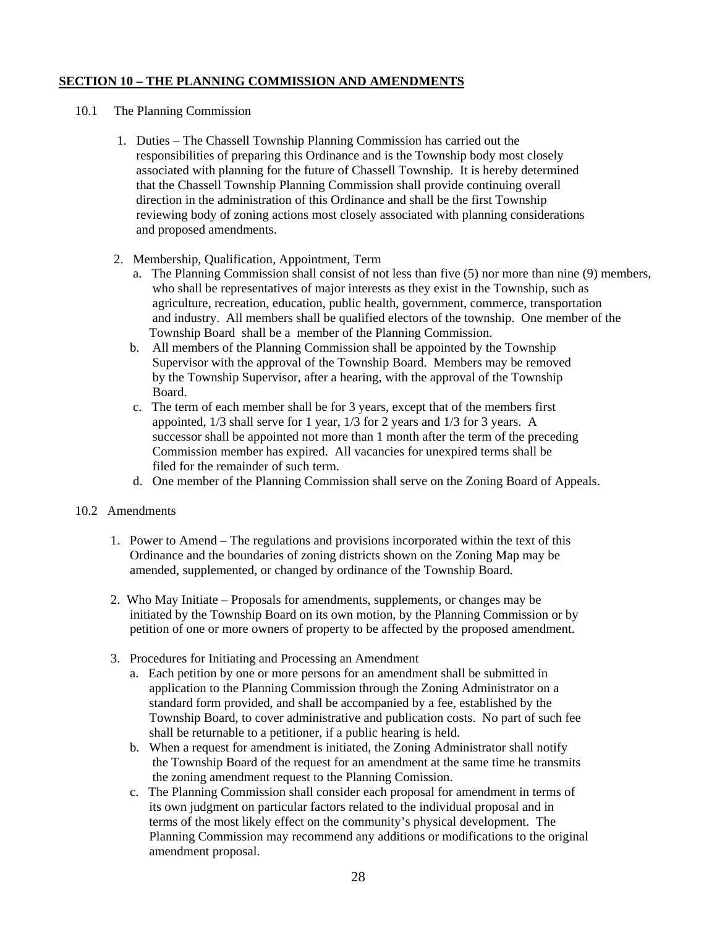# **SECTION 10 – THE PLANNING COMMISSION AND AMENDMENTS**

# 10.1 The Planning Commission

- 1. Duties The Chassell Township Planning Commission has carried out the responsibilities of preparing this Ordinance and is the Township body most closely associated with planning for the future of Chassell Township. It is hereby determined that the Chassell Township Planning Commission shall provide continuing overall direction in the administration of this Ordinance and shall be the first Township reviewing body of zoning actions most closely associated with planning considerations and proposed amendments.
- 2. Membership, Qualification, Appointment, Term
	- a. The Planning Commission shall consist of not less than five (5) nor more than nine (9) members, who shall be representatives of major interests as they exist in the Township, such as agriculture, recreation, education, public health, government, commerce, transportation and industry. All members shall be qualified electors of the township. One member of the Township Board shall be a member of the Planning Commission.
	- b. All members of the Planning Commission shall be appointed by the Township Supervisor with the approval of the Township Board. Members may be removed by the Township Supervisor, after a hearing, with the approval of the Township Board.
	- c. The term of each member shall be for 3 years, except that of the members first appointed, 1/3 shall serve for 1 year, 1/3 for 2 years and 1/3 for 3 years. A successor shall be appointed not more than 1 month after the term of the preceding Commission member has expired. All vacancies for unexpired terms shall be filed for the remainder of such term.
	- d. One member of the Planning Commission shall serve on the Zoning Board of Appeals.

## 10.2 Amendments

- 1. Power to Amend The regulations and provisions incorporated within the text of this Ordinance and the boundaries of zoning districts shown on the Zoning Map may be amended, supplemented, or changed by ordinance of the Township Board.
- 2. Who May Initiate Proposals for amendments, supplements, or changes may be initiated by the Township Board on its own motion, by the Planning Commission or by petition of one or more owners of property to be affected by the proposed amendment.
- 3. Procedures for Initiating and Processing an Amendment
	- a. Each petition by one or more persons for an amendment shall be submitted in application to the Planning Commission through the Zoning Administrator on a standard form provided, and shall be accompanied by a fee, established by the Township Board, to cover administrative and publication costs. No part of such fee shall be returnable to a petitioner, if a public hearing is held.
	- b. When a request for amendment is initiated, the Zoning Administrator shall notify the Township Board of the request for an amendment at the same time he transmits the zoning amendment request to the Planning Comission.
	- c. The Planning Commission shall consider each proposal for amendment in terms of its own judgment on particular factors related to the individual proposal and in terms of the most likely effect on the community's physical development. The Planning Commission may recommend any additions or modifications to the original amendment proposal.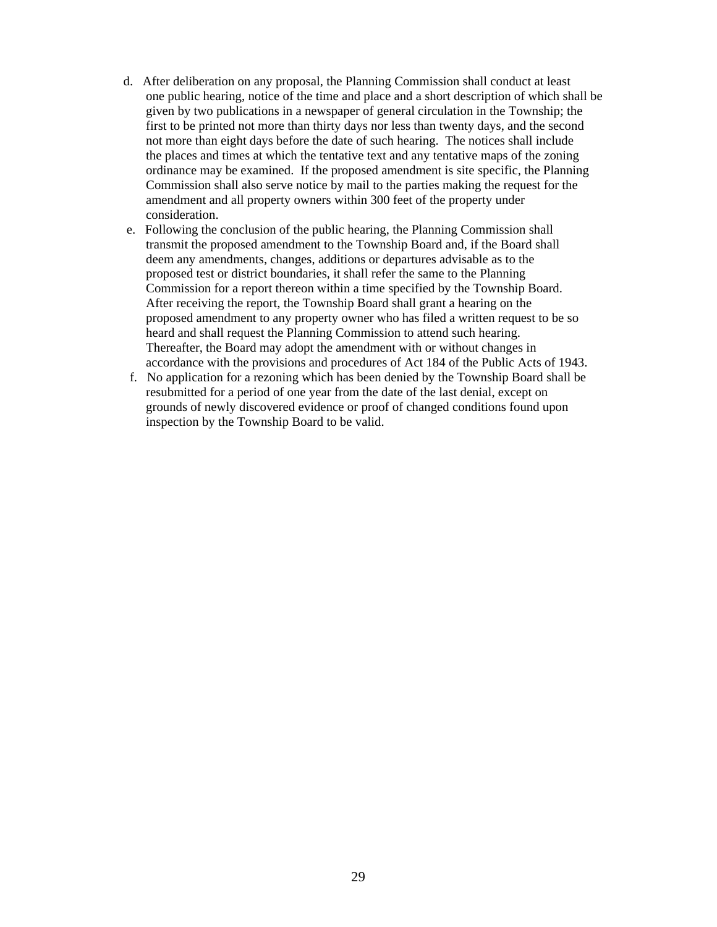- d. After deliberation on any proposal, the Planning Commission shall conduct at least one public hearing, notice of the time and place and a short description of which shall be given by two publications in a newspaper of general circulation in the Township; the first to be printed not more than thirty days nor less than twenty days, and the second not more than eight days before the date of such hearing. The notices shall include the places and times at which the tentative text and any tentative maps of the zoning ordinance may be examined. If the proposed amendment is site specific, the Planning Commission shall also serve notice by mail to the parties making the request for the amendment and all property owners within 300 feet of the property under consideration.
- e. Following the conclusion of the public hearing, the Planning Commission shall transmit the proposed amendment to the Township Board and, if the Board shall deem any amendments, changes, additions or departures advisable as to the proposed test or district boundaries, it shall refer the same to the Planning Commission for a report thereon within a time specified by the Township Board. After receiving the report, the Township Board shall grant a hearing on the proposed amendment to any property owner who has filed a written request to be so heard and shall request the Planning Commission to attend such hearing. Thereafter, the Board may adopt the amendment with or without changes in accordance with the provisions and procedures of Act 184 of the Public Acts of 1943.
- f. No application for a rezoning which has been denied by the Township Board shall be resubmitted for a period of one year from the date of the last denial, except on grounds of newly discovered evidence or proof of changed conditions found upon inspection by the Township Board to be valid.